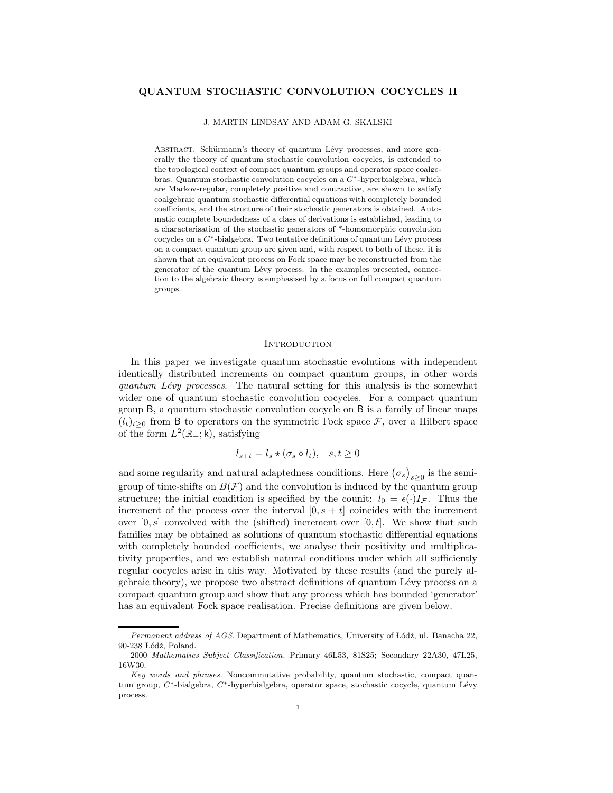# QUANTUM STOCHASTIC CONVOLUTION COCYCLES II

### J. MARTIN LINDSAY AND ADAM G. SKALSKI

ABSTRACT. Schürmann's theory of quantum Lévy processes, and more generally the theory of quantum stochastic convolution cocycles, is extended to the topological context of compact quantum groups and operator space coalgebras. Quantum stochastic convolution cocycles on a  $C^*$ -hyperbialgebra, which are Markov-regular, completely positive and contractive, are shown to satisfy coalgebraic quantum stochastic differential equations with completely bounded coefficients, and the structure of their stochastic generators is obtained. Automatic complete boundedness of a class of derivations is established, leading to a characterisation of the stochastic generators of \*-homomorphic convolution cocycles on a  $C^*$ -bialgebra. Two tentative definitions of quantum Lévy process on a compact quantum group are given and, with respect to both of these, it is shown that an equivalent process on Fock space may be reconstructed from the generator of the quantum Lévy process. In the examples presented, connection to the algebraic theory is emphasised by a focus on full compact quantum groups.

#### **INTRODUCTION**

In this paper we investigate quantum stochastic evolutions with independent identically distributed increments on compact quantum groups, in other words quantum Lévy processes. The natural setting for this analysis is the somewhat wider one of quantum stochastic convolution cocycles. For a compact quantum group B, a quantum stochastic convolution cocycle on B is a family of linear maps  $(l_t)_{t\geq0}$  from B to operators on the symmetric Fock space  $\mathcal{F}$ , over a Hilbert space of the form  $L^2(\mathbb{R}_+;\mathsf{k})$ , satisfying

$$
l_{s+t} = l_s \star (\sigma_s \circ l_t), \quad s, t \ge 0
$$

and some regularity and natural adaptedness conditions. Here  $(\sigma_s)_{s\geq 0}$  is the semigroup of time-shifts on  $B(\mathcal{F})$  and the convolution is induced by the quantum group structure; the initial condition is specified by the counit:  $l_0 = \epsilon(\cdot)I_{\mathcal{F}}$ . Thus the increment of the process over the interval  $[0, s + t]$  coincides with the increment over  $[0, s]$  convolved with the (shifted) increment over  $[0, t]$ . We show that such families may be obtained as solutions of quantum stochastic differential equations with completely bounded coefficients, we analyse their positivity and multiplicativity properties, and we establish natural conditions under which all sufficiently regular cocycles arise in this way. Motivated by these results (and the purely algebraic theory), we propose two abstract definitions of quantum L´evy process on a compact quantum group and show that any process which has bounded 'generator' has an equivalent Fock space realisation. Precise definitions are given below.

Permanent address of AGS. Department of Mathematics, University of Lódź, ul. Banacha 22, 90-238 Lódź, Poland.

<sup>2000</sup> Mathematics Subject Classification. Primary 46L53, 81S25; Secondary 22A30, 47L25, 16W30.

Key words and phrases. Noncommutative probability, quantum stochastic, compact quantum group, C<sup>∗</sup>-bialgebra, C<sup>∗</sup>-hyperbialgebra, operator space, stochastic cocycle, quantum Lévy process.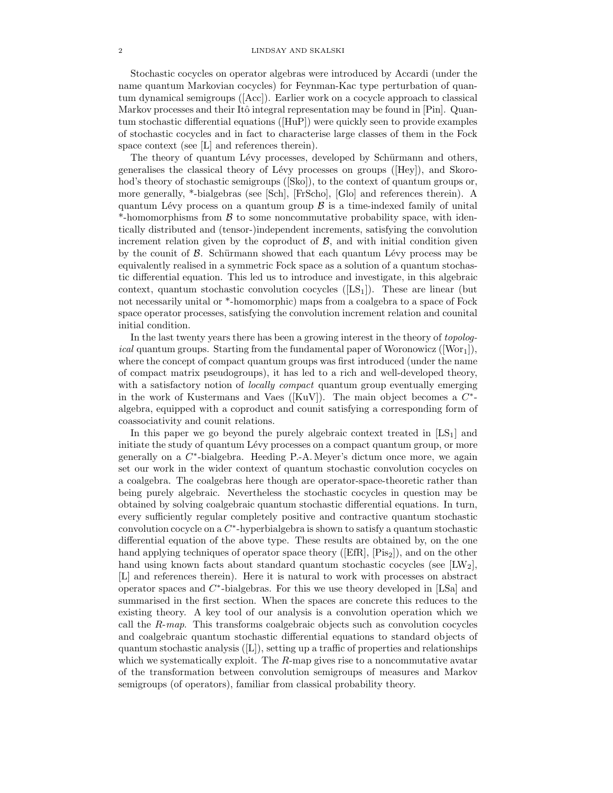Stochastic cocycles on operator algebras were introduced by Accardi (under the name quantum Markovian cocycles) for Feynman-Kac type perturbation of quantum dynamical semigroups ([Acc]). Earlier work on a cocycle approach to classical Markov processes and their Itô integral representation may be found in [Pin]. Quantum stochastic differential equations ([HuP]) were quickly seen to provide examples of stochastic cocycles and in fact to characterise large classes of them in the Fock space context (see [L] and references therein).

The theory of quantum Lévy processes, developed by Schürmann and others, generalises the classical theory of Lévy processes on groups ([Hey]), and Skorohod's theory of stochastic semigroups ([Sko]), to the context of quantum groups or, more generally, \*-bialgebras (see [Sch], [FrScho], [Glo] and references therein). A quantum Lévy process on a quantum group  $\beta$  is a time-indexed family of unital \*-homomorphisms from  $\beta$  to some noncommutative probability space, with identically distributed and (tensor-)independent increments, satisfying the convolution increment relation given by the coproduct of  $\mathcal{B}$ , and with initial condition given by the counit of  $\beta$ . Schürmann showed that each quantum Lévy process may be equivalently realised in a symmetric Fock space as a solution of a quantum stochastic differential equation. This led us to introduce and investigate, in this algebraic context, quantum stochastic convolution cocycles  $([LS<sub>1</sub>])$ . These are linear (but not necessarily unital or \*-homomorphic) maps from a coalgebra to a space of Fock space operator processes, satisfying the convolution increment relation and counital initial condition.

In the last twenty years there has been a growing interest in the theory of topolog*ical* quantum groups. Starting from the fundamental paper of Woronowicz ([Wor<sub>1</sub>]), where the concept of compact quantum groups was first introduced (under the name of compact matrix pseudogroups), it has led to a rich and well-developed theory, with a satisfactory notion of *locally compact* quantum group eventually emerging in the work of Kustermans and Vaes ([KuV]). The main object becomes a  $C^*$ algebra, equipped with a coproduct and counit satisfying a corresponding form of coassociativity and counit relations.

In this paper we go beyond the purely algebraic context treated in  $[LS_1]$  and initiate the study of quantum Lévy processes on a compact quantum group, or more generally on a  $C^*$ -bialgebra. Heeding P.-A. Meyer's dictum once more, we again set our work in the wider context of quantum stochastic convolution cocycles on a coalgebra. The coalgebras here though are operator-space-theoretic rather than being purely algebraic. Nevertheless the stochastic cocycles in question may be obtained by solving coalgebraic quantum stochastic differential equations. In turn, every sufficiently regular completely positive and contractive quantum stochastic convolution cocycle on a  $C^*$ -hyperbialgebra is shown to satisfy a quantum stochastic differential equation of the above type. These results are obtained by, on the one hand applying techniques of operator space theory ([EfR], [Pis<sub>2</sub>]), and on the other hand using known facts about standard quantum stochastic cocycles (see  $[{\rm LW}_2]$ , [L] and references therein). Here it is natural to work with processes on abstract operator spaces and  $C^*$ -bialgebras. For this we use theory developed in [LSa] and summarised in the first section. When the spaces are concrete this reduces to the existing theory. A key tool of our analysis is a convolution operation which we call the  $R$ -map. This transforms coalgebraic objects such as convolution cocycles and coalgebraic quantum stochastic differential equations to standard objects of quantum stochastic analysis ([L]), setting up a traffic of properties and relationships which we systematically exploit. The  $R$ -map gives rise to a noncommutative avatar of the transformation between convolution semigroups of measures and Markov semigroups (of operators), familiar from classical probability theory.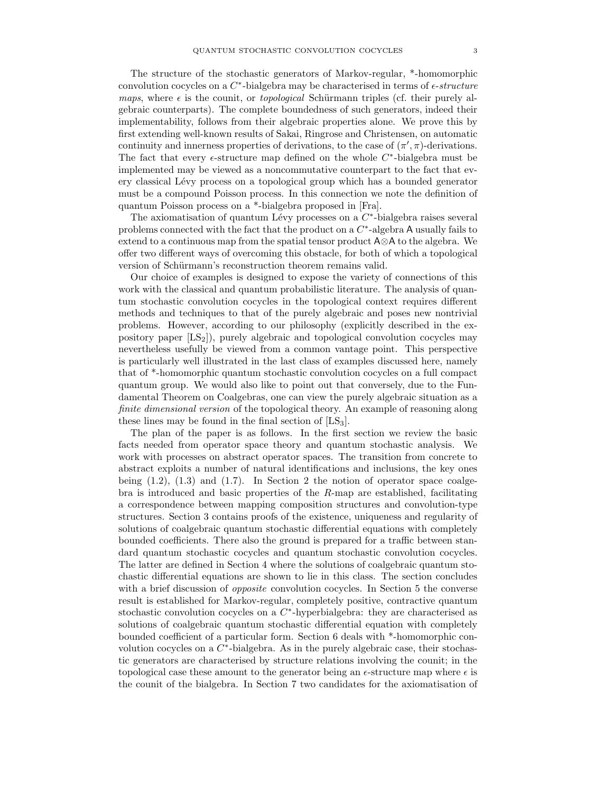The structure of the stochastic generators of Markov-regular, \*-homomorphic convolution cocycles on a  $C^*$ -bialgebra may be characterised in terms of  $\epsilon$ -structure maps, where  $\epsilon$  is the counit, or topological Schürmann triples (cf. their purely algebraic counterparts). The complete boundedness of such generators, indeed their implementability, follows from their algebraic properties alone. We prove this by first extending well-known results of Sakai, Ringrose and Christensen, on automatic continuity and innerness properties of derivations, to the case of  $(\pi', \pi)$ -derivations. The fact that every  $\epsilon$ -structure map defined on the whole  $C^*$ -bialgebra must be implemented may be viewed as a noncommutative counterpart to the fact that every classical L´evy process on a topological group which has a bounded generator must be a compound Poisson process. In this connection we note the definition of quantum Poisson process on a \*-bialgebra proposed in [Fra].

The axiomatisation of quantum Lévy processes on a  $C^*$ -bialgebra raises several problems connected with the fact that the product on a  $C^*$ -algebra A usually fails to extend to a continuous map from the spatial tensor product A⊗A to the algebra. We offer two different ways of overcoming this obstacle, for both of which a topological version of Schürmann's reconstruction theorem remains valid.

Our choice of examples is designed to expose the variety of connections of this work with the classical and quantum probabilistic literature. The analysis of quantum stochastic convolution cocycles in the topological context requires different methods and techniques to that of the purely algebraic and poses new nontrivial problems. However, according to our philosophy (explicitly described in the expository paper  $[LS_2]$ , purely algebraic and topological convolution cocycles may nevertheless usefully be viewed from a common vantage point. This perspective is particularly well illustrated in the last class of examples discussed here, namely that of \*-homomorphic quantum stochastic convolution cocycles on a full compact quantum group. We would also like to point out that conversely, due to the Fundamental Theorem on Coalgebras, one can view the purely algebraic situation as a finite dimensional version of the topological theory. An example of reasoning along these lines may be found in the final section of  $[LS_3]$ .

The plan of the paper is as follows. In the first section we review the basic facts needed from operator space theory and quantum stochastic analysis. We work with processes on abstract operator spaces. The transition from concrete to abstract exploits a number of natural identifications and inclusions, the key ones being  $(1.2)$ ,  $(1.3)$  and  $(1.7)$ . In Section 2 the notion of operator space coalgebra is introduced and basic properties of the R-map are established, facilitating a correspondence between mapping composition structures and convolution-type structures. Section 3 contains proofs of the existence, uniqueness and regularity of solutions of coalgebraic quantum stochastic differential equations with completely bounded coefficients. There also the ground is prepared for a traffic between standard quantum stochastic cocycles and quantum stochastic convolution cocycles. The latter are defined in Section 4 where the solutions of coalgebraic quantum stochastic differential equations are shown to lie in this class. The section concludes with a brief discussion of *opposite* convolution cocycles. In Section 5 the converse result is established for Markov-regular, completely positive, contractive quantum stochastic convolution cocycles on a  $C^*$ -hyperbialgebra: they are characterised as solutions of coalgebraic quantum stochastic differential equation with completely bounded coefficient of a particular form. Section 6 deals with \*-homomorphic convolution cocycles on a  $C^*$ -bialgebra. As in the purely algebraic case, their stochastic generators are characterised by structure relations involving the counit; in the topological case these amount to the generator being an  $\epsilon$ -structure map where  $\epsilon$  is the counit of the bialgebra. In Section 7 two candidates for the axiomatisation of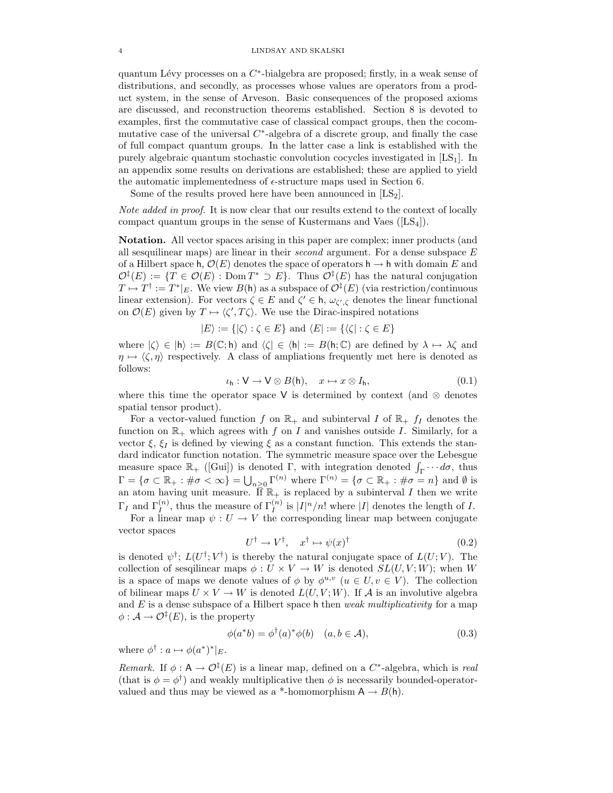# 4 LINDSAY AND SKALSKI

quantum Lévy processes on a  $C^*$ -bialgebra are proposed; firstly, in a weak sense of distributions, and secondly, as processes whose values are operators from a product system, in the sense of Arveson. Basic consequences of the proposed axioms are discussed, and reconstruction theorems established. Section 8 is devoted to examples, first the commutative case of classical compact groups, then the cocommutative case of the universal  $C^*$ -algebra of a discrete group, and finally the case of full compact quantum groups. In the latter case a link is established with the purely algebraic quantum stochastic convolution cocycles investigated in  $[LS<sub>1</sub>]$ . In an appendix some results on derivations are established; these are applied to yield the automatic implementedness of  $\epsilon$ -structure maps used in Section 6.

Some of the results proved here have been announced in  $[LS_2]$ .

Note added in proof. It is now clear that our results extend to the context of locally compact quantum groups in the sense of Kustermans and Vaes  $([LS<sub>4</sub>])$ .

Notation. All vector spaces arising in this paper are complex; inner products (and all sesquilinear maps) are linear in their second argument. For a dense subspace  $E$ of a Hilbert space h,  $\mathcal{O}(E)$  denotes the space of operators h  $\rightarrow$  h with domain E and  $\mathcal{O}^{\ddagger}(E) := \{ T \in \mathcal{O}(E) : \text{Dom }T^* \supset E \}.$  Thus  $\mathcal{O}^{\ddagger}(E)$  has the natural conjugation  $T \mapsto T^{\dagger} := T^*|_E$ . We view  $B(\mathsf{h})$  as a subspace of  $\mathcal{O}^{\ddagger}(E)$  (via restriction/continuous linear extension). For vectors  $\zeta \in E$  and  $\zeta' \in \mathsf{h}$ ,  $\omega_{\zeta',\zeta}$  denotes the linear functional on  $\mathcal{O}(E)$  given by  $T \mapsto \langle \zeta', T\zeta \rangle$ . We use the Dirac-inspired notations

$$
|E\rangle := \{|\zeta\rangle : \zeta \in E\}
$$
 and  $\langle E| := \{\langle \zeta | : \zeta \in E\}$ 

where  $|\zeta\rangle \in |h\rangle := B(\mathbb{C};h)$  and  $\langle \zeta | \in \langle h | := B(h;\mathbb{C}) \rangle$  are defined by  $\lambda \mapsto \lambda \zeta$  and  $\eta \mapsto \langle \zeta, \eta \rangle$  respectively. A class of ampliations frequently met here is denoted as follows:

$$
\iota_{\mathsf{h}} : \mathsf{V} \to \mathsf{V} \otimes B(\mathsf{h}), \quad x \mapsto x \otimes I_{\mathsf{h}}, \tag{0.1}
$$

where this time the operator space V is determined by context (and  $\otimes$  denotes spatial tensor product).

For a vector-valued function f on  $\mathbb{R}_+$  and subinterval I of  $\mathbb{R}_+$  f<sub>I</sub> denotes the function on  $\mathbb{R}_+$  which agrees with f on I and vanishes outside I. Similarly, for a vector  $\xi$ ,  $\xi$ <sub>I</sub> is defined by viewing  $\xi$  as a constant function. This extends the standard indicator function notation. The symmetric measure space over the Lebesgue measure space  $\mathbb{R}_+$  ([Gui]) is denoted  $\Gamma$ , with integration denoted  $\int_{\Gamma} \cdots d\sigma$ , thus  $\Gamma = \{ \sigma \subset \mathbb{R}_+ : \# \sigma < \infty \} = \bigcup_{n \geq 0} \Gamma^{(n)}$  where  $\Gamma^{(n)} = \{ \sigma \subset \mathbb{R}_+ : \# \sigma = n \}$  and  $\emptyset$  is an atom having unit measure. If  $\mathbb{R}_+$  is replaced by a subinterval I then we write  $\Gamma_I$  and  $\Gamma_I^{(n)}$ , thus the measure of  $\Gamma_I^{(n)}$  is  $|I|^n/n!$  where  $|I|$  denotes the length of I.

For a linear map  $\psi : U \to V$  the corresponding linear map between conjugate vector spaces

$$
U^{\dagger} \to V^{\dagger}, \quad x^{\dagger} \mapsto \psi(x)^{\dagger} \tag{0.2}
$$

is denoted  $\psi^{\dagger}$ ;  $L(U^{\dagger}; V^{\dagger})$  is thereby the natural conjugate space of  $L(U; V)$ . The collection of sesqilinear maps  $\phi: U \times V \to W$  is denoted  $SL(U, V; W)$ ; when W is a space of maps we denote values of  $\phi$  by  $\phi^{u,v}$   $(u \in U, v \in V)$ . The collection of bilinear maps  $U \times V \to W$  is denoted  $L(U, V; W)$ . If A is an involutive algebra and  $E$  is a dense subspace of a Hilbert space h then weak multiplicativity for a map  $\phi: \mathcal{A} \to \mathcal{O}^{\ddagger}(E)$ , is the property

$$
\phi(a^*b) = \phi^\dagger(a)^*\phi(b) \quad (a, b \in \mathcal{A}),\tag{0.3}
$$

where  $\phi^{\dagger}: a \mapsto \phi(a^*)^*|_E$ .

Remark. If  $\phi : A \to \mathcal{O}^{\ddagger}(E)$  is a linear map, defined on a  $C^*$ -algebra, which is real (that is  $\phi = \phi^{\dagger}$ ) and weakly multiplicative then  $\phi$  is necessarily bounded-operatorvalued and thus may be viewed as a \*-homomorphism  $A \to B(h)$ .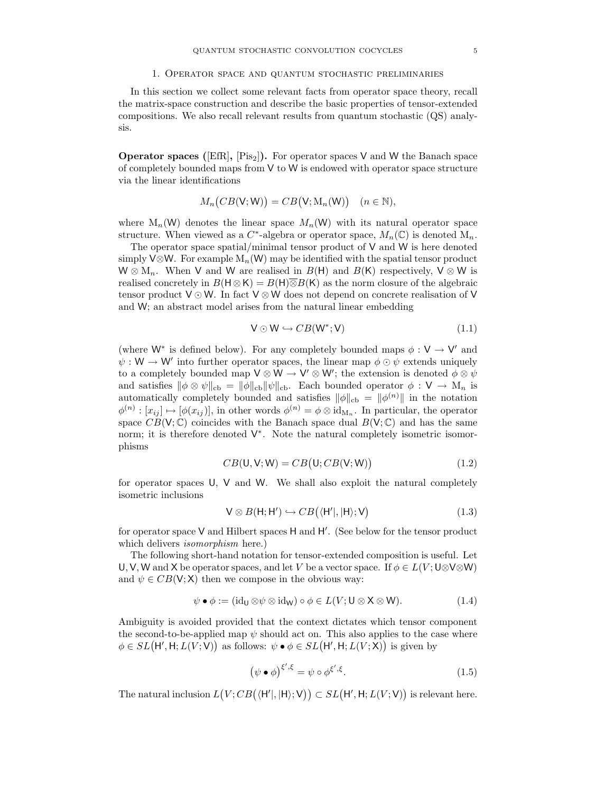#### 1. Operator space and quantum stochastic preliminaries

In this section we collect some relevant facts from operator space theory, recall the matrix-space construction and describe the basic properties of tensor-extended compositions. We also recall relevant results from quantum stochastic (QS) analysis.

**Operator spaces** ([EfR], [Pis<sub>2</sub>]). For operator spaces V and W the Banach space of completely bounded maps from V to W is endowed with operator space structure via the linear identifications

$$
M_n(CB(V;W)) = CB(V; M_n(W)) \quad (n \in \mathbb{N}),
$$

where  $M_n(W)$  denotes the linear space  $M_n(W)$  with its natural operator space structure. When viewed as a  $C^*$ -algebra or operator space,  $M_n(\mathbb{C})$  is denoted  $M_n$ .

The operator space spatial/minimal tensor product of  $V$  and  $W$  is here denoted simply V⊗W. For example  $M_n(W)$  may be identified with the spatial tensor product  $W \otimes M_n$ . When V and W are realised in  $B(H)$  and  $B(K)$  respectively,  $V \otimes W$  is realised concretely in  $B(H \otimes K) = B(H) \overline{\otimes} B(K)$  as the norm closure of the algebraic tensor product  $V \odot W$ . In fact  $V \otimes W$  does not depend on concrete realisation of V and W; an abstract model arises from the natural linear embedding

$$
V \odot W \hookrightarrow CB(W^*; V) \tag{1.1}
$$

(where  $W^*$  is defined below). For any completely bounded maps  $\phi: V \to V'$  and  $\psi: W \to W'$  into further operator spaces, the linear map  $\phi \odot \psi$  extends uniquely to a completely bounded map  $\mathsf{V} \otimes \mathsf{W} \to \mathsf{V}' \otimes \mathsf{W}'$ ; the extension is denoted  $\phi \otimes \psi$ and satisfies  $\|\phi \otimes \psi\|_{cb} = \|\phi\|_{cb} \|\psi\|_{cb}$ . Each bounded operator  $\phi : V \to M_n$  is automatically completely bounded and satisfies  $\|\phi\|_{cb} = \|\phi^{(n)}\|$  in the notation  $\phi^{(n)} : [x_{ij}] \mapsto [\phi(x_{ij})]$ , in other words  $\phi^{(n)} = \phi \otimes id_{M_n}$ . In particular, the operator space  $CB(V;\mathbb{C})$  coincides with the Banach space dual  $B(V;\mathbb{C})$  and has the same norm; it is therefore denoted  $V^*$ . Note the natural completely isometric isomorphisms

$$
CB(\mathsf{U}, \mathsf{V}; \mathsf{W}) = CB(\mathsf{U}; CB(\mathsf{V}; \mathsf{W})) \tag{1.2}
$$

for operator spaces U, V and W. We shall also exploit the natural completely isometric inclusions

$$
V \otimes B(H; H') \hookrightarrow CB(\langle H'|, |H\rangle; V)
$$
\n(1.3)

for operator space V and Hilbert spaces H and H'. (See below for the tensor product which delivers *isomorphism* here.)

The following short-hand notation for tensor-extended composition is useful. Let U, V, W and X be operator spaces, and let V be a vector space. If  $\phi \in L(V;U\otimes V\otimes W)$ and  $\psi \in CB(V; X)$  then we compose in the obvious way:

$$
\psi \bullet \phi := (\mathrm{id}_{\mathsf{U}} \otimes \psi \otimes \mathrm{id}_{\mathsf{W}}) \circ \phi \in L(V; \mathsf{U} \otimes \mathsf{X} \otimes \mathsf{W}).\tag{1.4}
$$

Ambiguity is avoided provided that the context dictates which tensor component the second-to-be-applied map  $\psi$  should act on. This also applies to the case where  $\phi \in SL(H', H; L(V; V))$  as follows:  $\psi \bullet \phi \in SL(H', H; L(V; X))$  is given by

$$
(\psi \bullet \phi)^{\xi', \xi} = \psi \circ \phi^{\xi', \xi}.
$$
 (1.5)

The natural inclusion  $L(V; CB(\langle H' |, |H \rangle; V)) \subset SL(H', H; L(V; V))$  is relevant here.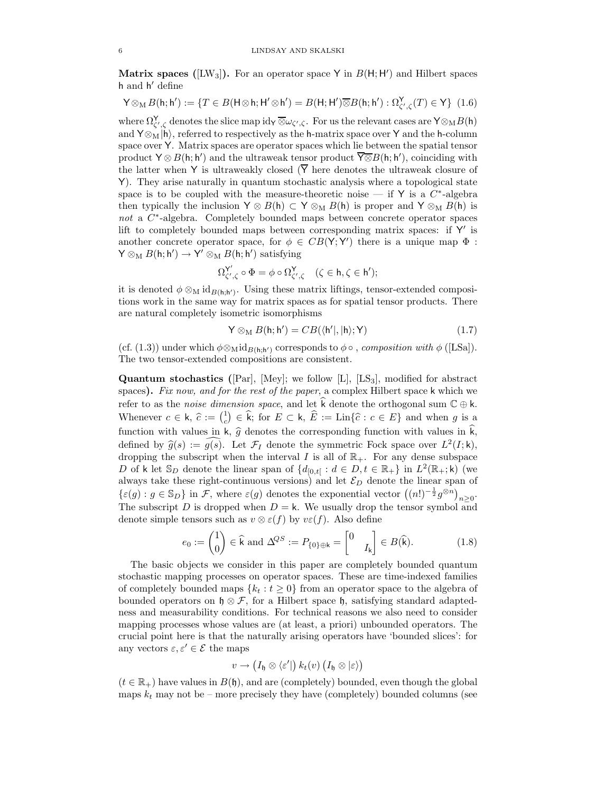Matrix spaces ( $[LW_3]$ ). For an operator space Y in  $B(H; H')$  and Hilbert spaces h and h ′ define

$$
\mathsf{Y} \otimes_{\mathrm{M}} B(\mathsf{h}; \mathsf{h}'): = \{ T \in B(\mathsf{H} \otimes \mathsf{h}; \mathsf{H}' \otimes \mathsf{h}') = B(\mathsf{H}; \mathsf{H}') \overline{\otimes} B(\mathsf{h}; \mathsf{h}'): \Omega^{\mathsf{Y}}_{\zeta', \zeta}(T) \in \mathsf{Y} \} \tag{1.6}
$$

where  $\Omega^{\mathsf{Y}}_{\zeta',\zeta}$  denotes the slice map  $\mathrm{id}_{\mathsf{Y}}\overline{\otimes}\omega_{\zeta',\zeta}$ . For us the relevant cases are  $\mathsf{Y}\otimes_{\mathrm{M}} B(\mathsf{h})$ and  $Y \otimes_M |h\rangle$ , referred to respectively as the h-matrix space over Y and the h-column space over Y. Matrix spaces are operator spaces which lie between the spatial tensor product  $\mathsf{Y} \otimes B(\mathsf{h}; \mathsf{h}')$  and the ultraweak tensor product  $\overline{\mathsf{Y} \otimes} B(\mathsf{h}; \mathsf{h}'),$  coinciding with the latter when Y is ultraweakly closed  $(\overline{Y})$  here denotes the ultraweak closure of Y). They arise naturally in quantum stochastic analysis where a topological state space is to be coupled with the measure-theoretic noise — if Y is a  $C^*$ -algebra then typically the inclusion  $Y \otimes B(h) \subset Y \otimes_M B(h)$  is proper and  $Y \otimes_M B(h)$  is not a C<sup>\*</sup>-algebra. Completely bounded maps between concrete operator spaces lift to completely bounded maps between corresponding matrix spaces: if Y' is another concrete operator space, for  $\phi \in CB(Y; Y')$  there is a unique map  $\Phi$ :  $\mathsf{Y} \otimes_{\mathcal{M}} B(\mathsf{h}; \mathsf{h}') \to \mathsf{Y}' \otimes_{\mathcal{M}} B(\mathsf{h}; \mathsf{h}')$  satisfying

$$
\Omega^{\mathsf{Y}'}_{\zeta',\zeta} \circ \Phi = \phi \circ \Omega^{\mathsf{Y}}_{\zeta',\zeta} \quad (\zeta \in \mathsf{h}, \zeta \in \mathsf{h}');
$$

it is denoted  $\phi \otimes_M id_{B(h;h')}$ . Using these matrix liftings, tensor-extended compositions work in the same way for matrix spaces as for spatial tensor products. There are natural completely isometric isomorphisms

$$
Y \otimes_M B(h; h') = CB(\langle h' |, |h \rangle; Y) \tag{1.7}
$$

(cf. (1.3)) under which  $\phi \otimes_M id_{B(h;h')}$  corresponds to  $\phi \circ$ , composition with  $\phi$  ([LSa]). The two tensor-extended compositions are consistent.

**Quantum stochastics** ([Par], [Mey]; we follow  $[L]$ ,  $[LS_3]$ , modified for abstract spaces). Fix now, and for the rest of the paper, a complex Hilbert space k which we refer to as the *noise dimension space*, and let  $\hat{k}$  denote the orthogonal sum  $\mathbb{C} \oplus \mathsf{k}$ . Whenever  $c \in \mathsf{k}$ ,  $\hat{c} := \begin{pmatrix} 1 \\ c \end{pmatrix} \in \hat{\mathsf{k}}$ ; for  $E \subset \mathsf{k}$ ,  $\hat{E} := \text{Lin}\{\hat{c} : c \in E\}$  and when g is a function with values in k,  $\hat{g}$  denotes the corresponding function with values in k, defined by  $\widehat{g}(s) := \widehat{g(s)}$ . Let  $\mathcal{F}_I$  denote the symmetric Fock space over  $L^2(I; \mathsf{k})$ , dropping the subscript when the interval  $I$  is all of  $\mathbb{R}_+$ . For any dense subspace D of k let  $\mathbb{S}_D$  denote the linear span of  $\{d_{[0,t]}: d \in D, t \in \mathbb{R}_+\}$  in  $L^2(\mathbb{R}_+; \mathsf{k})$  (we always take these right-continuous versions) and let  $\mathcal{E}_D$  denote the linear span of  $\{\varepsilon(g) : g \in \mathbb{S}_D\}$  in F, where  $\varepsilon(g)$  denotes the exponential vector  $((n!)^{-\frac{1}{2}}g^{\otimes n})_{n\geq 0}$ . The subscript D is dropped when  $D = k$ . We usually drop the tensor symbol and denote simple tensors such as  $v \otimes \varepsilon(f)$  by  $v\varepsilon(f)$ . Also define

$$
e_0 := \begin{pmatrix} 1 \\ 0 \end{pmatrix} \in \widehat{\mathbf{k}} \text{ and } \Delta^{QS} := P_{\{0\} \oplus \mathbf{k}} = \begin{bmatrix} 0 \\ I_{\mathbf{k}} \end{bmatrix} \in B(\widehat{\mathbf{k}}). \tag{1.8}
$$

The basic objects we consider in this paper are completely bounded quantum stochastic mapping processes on operator spaces. These are time-indexed families of completely bounded maps  ${k_t : t \geq 0}$  from an operator space to the algebra of bounded operators on  $\mathfrak{h} \otimes \mathcal{F}$ , for a Hilbert space  $\mathfrak{h}$ , satisfying standard adaptedness and measurability conditions. For technical reasons we also need to consider mapping processes whose values are (at least, a priori) unbounded operators. The crucial point here is that the naturally arising operators have 'bounded slices': for any vectors  $\varepsilon, \varepsilon' \in \mathcal{E}$  the maps

$$
v \to (I_{\mathfrak{h}} \otimes \langle \varepsilon' |) k_t(v) (I_{\mathfrak{h}} \otimes | \varepsilon \rangle)
$$

 $(t \in \mathbb{R}_+)$  have values in  $B(\mathfrak{h})$ , and are (completely) bounded, even though the global maps  $k_t$  may not be – more precisely they have (completely) bounded columns (see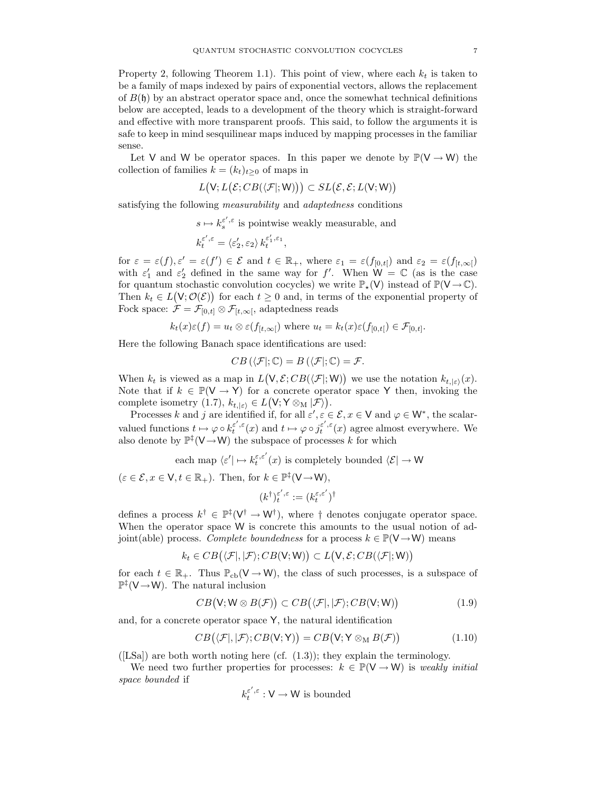Property 2, following Theorem 1.1). This point of view, where each  $k_t$  is taken to be a family of maps indexed by pairs of exponential vectors, allows the replacement of  $B(\mathfrak{h})$  by an abstract operator space and, once the somewhat technical definitions below are accepted, leads to a development of the theory which is straight-forward and effective with more transparent proofs. This said, to follow the arguments it is safe to keep in mind sesquilinear maps induced by mapping processes in the familiar sense.

Let V and W be operator spaces. In this paper we denote by  $\mathbb{P}(V \to W)$  the collection of families  $k = (k_t)_{t>0}$  of maps in

$$
L(V; L(\mathcal{E}; CB(\langle \mathcal{F} |; W \rangle)) \subset SL(\mathcal{E}, \mathcal{E}; L(V; W))
$$

satisfying the following *measurability* and *adaptedness* conditions

$$
s \mapsto k_s^{\varepsilon',\varepsilon}
$$
 is pointwise weakly measurable, and  

$$
k_t^{\varepsilon',\varepsilon} = \langle \varepsilon_2', \varepsilon_2 \rangle k_t^{\varepsilon'_1, \varepsilon_1},
$$

for  $\varepsilon = \varepsilon(f), \varepsilon' = \varepsilon(f') \in \mathcal{E}$  and  $t \in \mathbb{R}_+$ , where  $\varepsilon_1 = \varepsilon(f_{[0,t[})$  and  $\varepsilon_2 = \varepsilon(f_{[t,\infty[})$ with  $\varepsilon'_1$  and  $\varepsilon'_2$  defined in the same way for f'. When  $W = \mathbb{C}$  (as is the case for quantum stochastic convolution cocycles) we write  $\mathbb{P}_*(V)$  instead of  $\mathbb{P}(V\to\mathbb{C})$ . Then  $k_t \in L(V; \mathcal{O}(\mathcal{E}))$  for each  $t \geq 0$  and, in terms of the exponential property of Fock space:  $\mathcal{F} = \mathcal{F}_{[0,t]} \otimes \mathcal{F}_{[t,\infty[}$ , adaptedness reads

$$
k_t(x)\varepsilon(f) = u_t \otimes \varepsilon(f_{[t,\infty[})
$$
 where  $u_t = k_t(x)\varepsilon(f_{[0,t[}) \in \mathcal{F}_{[0,t]}).$ 

Here the following Banach space identifications are used:

$$
CB\left(\langle \mathcal{F} | \mathcal{F} \rangle \mathbb{C}\right) = B\left(\langle \mathcal{F} | \mathcal{F} \rangle \mathbb{C}\right) = \mathcal{F}.
$$

When  $k_t$  is viewed as a map in  $L(V, \mathcal{E}; CB(\mathcal{F}|\mathcal{W}))$  we use the notation  $k_{t,|\varepsilon\rangle}(x)$ . Note that if  $k \in \mathbb{P}(\mathsf{V} \to \mathsf{Y})$  for a concrete operator space Y then, invoking the complete isometry (1.7),  $k_{t,|\varepsilon\rangle} \in L(V; \mathsf{Y} \otimes_{\mathrm{M}} |\mathcal{F})$ .

Processes k and j are identified if, for all  $\varepsilon', \varepsilon \in \mathcal{E}, x \in V$  and  $\varphi \in W^*$ , the scalarvalued functions  $t \mapsto \varphi \circ k_t^{\varepsilon',\varepsilon}(x)$  and  $t \mapsto \varphi \circ j_t^{\varepsilon',\varepsilon}(x)$  agree almost everywhere. We also denote by  $\mathbb{P}^{\ddagger}(\mathsf{V}\to\mathsf{W})$  the subspace of processes k for which

each map 
$$
\langle \varepsilon' | \mapsto k_t^{\varepsilon, \varepsilon'}(x)
$$
 is completely bounded  $\langle \varepsilon | \to W$ 

 $(\varepsilon \in \mathcal{E}, x \in \mathsf{V}, t \in \mathbb{R}_+).$  Then, for  $k \in \mathbb{P}^{\ddagger}(\mathsf{V} \to \mathsf{W}),$ 

$$
(k^\dagger)_t^{\varepsilon',\varepsilon} := (k_t^{\varepsilon,\varepsilon'})^\dagger
$$

defines a process  $k^{\dagger} \in \mathbb{P}^{\ddagger}(\mathsf{V}^{\dagger} \to \mathsf{W}^{\dagger})$ , where  $\dagger$  denotes conjugate operator space. When the operator space W is concrete this amounts to the usual notion of adjoint(able) process. Complete boundedness for a process  $k \in \mathbb{P}(\mathsf{V} \rightarrow \mathsf{W})$  means

$$
k_t \in CB\big(\langle \mathcal{F}|,|\mathcal{F}\rangle; CB(\mathsf{V};\mathsf{W})\big) \subset L\big(\mathsf{V}, \mathcal{E}; CB(\langle \mathcal{F}|; \mathsf{W})\big)
$$

for each  $t \in \mathbb{R}_+$ . Thus  $\mathbb{P}_{cb}(V \to W)$ , the class of such processes, is a subspace of  $\mathbb{P}^{\ddagger}(\mathsf{V}\rightarrow\mathsf{W})$ . The natural inclusion

$$
CB(\mathsf{V}; \mathsf{W} \otimes B(\mathcal{F})) \subset CB(\langle \mathcal{F} |, |\mathcal{F} \rangle; CB(\mathsf{V}; \mathsf{W})) \tag{1.9}
$$

and, for a concrete operator space Y, the natural identification

$$
CB(\langle \mathcal{F} |, | \mathcal{F} \rangle; CB(\mathsf{V}; \mathsf{Y})) = CB(\mathsf{V}; \mathsf{Y} \otimes_{\mathsf{M}} B(\mathcal{F})) \tag{1.10}
$$

 $(LSa)$  are both worth noting here (cf.  $(1.3)$ ); they explain the terminology.

We need two further properties for processes:  $k \in \mathbb{P}(\mathsf{V} \to \mathsf{W})$  is weakly initial space bounded if

$$
k^{\varepsilon',\varepsilon}_t : \mathsf{V} \to \mathsf{W}
$$
 is bounded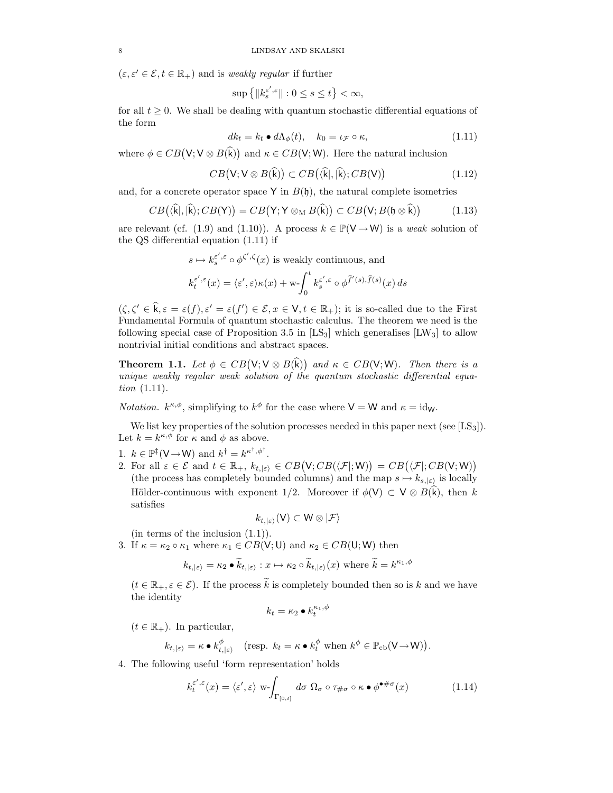$(\varepsilon, \varepsilon' \in \mathcal{E}, t \in \mathbb{R}_+)$  and is *weakly regular* if further

$$
\sup\left\{\|k^{\varepsilon',\varepsilon}_s\|:0\leq s\leq t\right\}<\infty,
$$

for all  $t \geq 0$ . We shall be dealing with quantum stochastic differential equations of the form

$$
dk_t = k_t \bullet d\Lambda_{\phi}(t), \quad k_0 = \iota_{\mathcal{F}} \circ \kappa,
$$
\n(1.11)

where  $\phi \in CB(\mathsf{V}; \mathsf{V} \otimes B(\widehat{\mathsf{k}}))$  and  $\kappa \in CB(\mathsf{V}; \mathsf{W})$ . Here the natural inclusion

$$
CB(\mathsf{V};\mathsf{V}\otimes B(\widehat{\mathsf{k}}))\subset CB(\langle \widehat{\mathsf{k}}|,|\widehat{\mathsf{k}}\rangle; CB(\mathsf{V}))\tag{1.12}
$$

and, for a concrete operator space Y in  $B(\mathfrak{h})$ , the natural complete isometries

$$
CB(\langle \hat{\mathsf{k}}|, |\hat{\mathsf{k}}\rangle; CB(\mathsf{Y})\big) = CB(\mathsf{Y}; \mathsf{Y} \otimes_{\mathsf{M}} B(\hat{\mathsf{k}})) \subset CB(\mathsf{V}; B(\mathfrak{h} \otimes \hat{\mathsf{k}})) \tag{1.13}
$$

are relevant (cf. (1.9) and (1.10)). A process  $k \in \mathbb{P}(\mathsf{V} \to \mathsf{W})$  is a weak solution of the QS differential equation (1.11) if

$$
s \mapsto k_s^{\varepsilon',\varepsilon} \circ \phi^{\zeta',\zeta}(x) \text{ is weakly continuous, and}
$$
  

$$
k_t^{\varepsilon',\varepsilon}(x) = \langle \varepsilon', \varepsilon \rangle \kappa(x) + \text{w-}\int_0^t k_s^{\varepsilon',\varepsilon} \circ \phi^{\widehat{f}'(s),\widehat{f}(s)}(x) ds
$$

 $(\zeta, \zeta' \in \widehat{\mathsf{k}}, \varepsilon = \varepsilon(f), \varepsilon' = \varepsilon(f') \in \mathcal{E}, x \in \mathsf{V}, t \in \mathbb{R}_+$ ; it is so-called due to the First Fundamental Formula of quantum stochastic calculus. The theorem we need is the following special case of Proposition 3.5 in  $[LS_3]$  which generalises  $[LN_3]$  to allow nontrivial initial conditions and abstract spaces.

**Theorem 1.1.** Let  $\phi \in CB(\mathsf{V}; \mathsf{V} \otimes B(\widehat{\mathsf{k}}))$  and  $\kappa \in CB(\mathsf{V}; \mathsf{W})$ . Then there is a unique weakly regular weak solution of the quantum stochastic differential equation (1.11).

*Notation.*  $k^{\kappa,\phi}$ , simplifying to  $k^{\phi}$  for the case where  $V = W$  and  $\kappa = id_W$ .

We list key properties of the solution processes needed in this paper next (see  $[LS_3]$ ). Let  $k = k^{\kappa, \phi}$  for  $\kappa$  and  $\phi$  as above.

- 1.  $k \in \mathbb{P}^{\ddagger}(\mathsf{V} \to \mathsf{W})$  and  $k^{\dagger} = k^{\kappa^{\dagger}, \phi^{\dagger}}$ .
- 2. For all  $\varepsilon \in \mathcal{E}$  and  $t \in \mathbb{R}_+$ ,  $k_{t, |\varepsilon\rangle} \in CB(\mathsf{V}; CB(\mathcal{F}; \mathsf{W})) = CB(\mathcal{F}; CB(\mathsf{V}; \mathsf{W}))$ (the process has completely bounded columns) and the map  $s \mapsto k_{s,|\varepsilon\rangle}$  is locally Hölder-continuous with exponent 1/2. Moreover if  $\phi(\mathsf{V}) \subset \mathsf{V} \otimes B(\widehat{k})$ , then k satisfies

$$
k_{t,|\varepsilon\rangle}(\mathsf{V})\subset \mathsf{W}\otimes |\mathcal{F}\rangle
$$

 $(in terms of the inclusion (1.1)).$ 

3. If  $\kappa = \kappa_2 \circ \kappa_1$  where  $\kappa_1 \in CB(V; \mathsf{U})$  and  $\kappa_2 \in CB(\mathsf{U}; \mathsf{W})$  then

$$
k_{t,|\varepsilon\rangle} = \kappa_2 \bullet \widetilde{k}_{t,|\varepsilon\rangle} : x \mapsto \kappa_2 \circ \widetilde{k}_{t,|\varepsilon\rangle}(x)
$$
 where  $\widetilde{k} = k^{\kappa_1, \phi}$ 

 $(t \in \mathbb{R}_+, \varepsilon \in \mathcal{E})$ . If the process  $\widetilde{k}$  is completely bounded then so is k and we have the identity

$$
k_t = \kappa_2 \bullet k_t^{\kappa_1, \phi}
$$

 $(t \in \mathbb{R}_{+}).$  In particular,

$$
k_{t,|\varepsilon\rangle} = \kappa \bullet k_{t,|\varepsilon\rangle}^{\phi} \quad \text{(resp. } k_t = \kappa \bullet k_t^{\phi} \text{ when } k^{\phi} \in \mathbb{P}_{\text{cb}}(\mathsf{V} \to \mathsf{W})\text{)}.
$$

4. The following useful 'form representation' holds

$$
k_t^{\varepsilon',\varepsilon}(x) = \langle \varepsilon', \varepsilon \rangle \ \text{w-}\int_{\Gamma_{[0,t]}} d\sigma \ \Omega_{\sigma} \circ \tau_{\#\sigma} \circ \kappa \bullet \phi^{\bullet \# \sigma}(x) \tag{1.14}
$$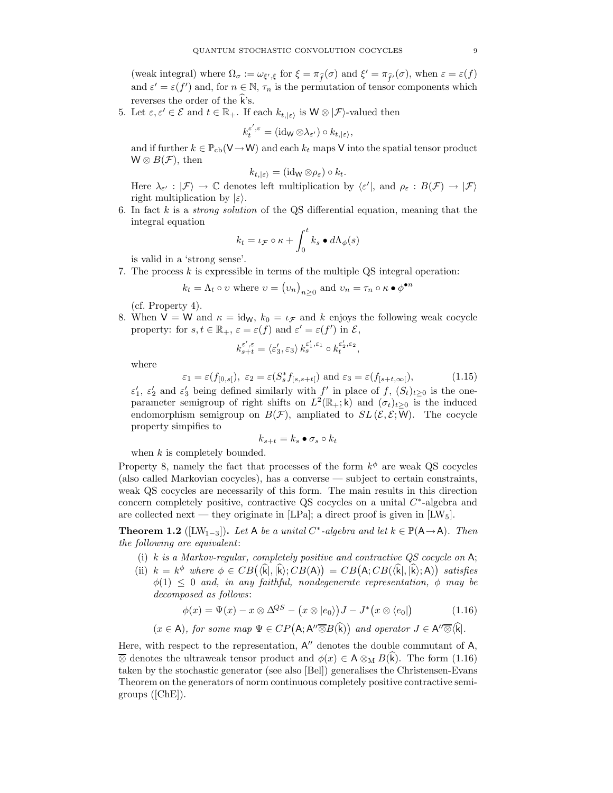(weak integral) where  $\Omega_{\sigma} := \omega_{\xi',\xi}$  for  $\xi = \pi_{\widehat{f}}(\sigma)$  and  $\xi' = \pi_{\widehat{f}'}(\sigma)$ , when  $\varepsilon = \varepsilon(f)$ and  $\varepsilon' = \varepsilon(f')$  and, for  $n \in \mathbb{N}$ ,  $\tau_n$  is the permutation of tensor components which reverses the order of the  $\hat{k}$ 's.

5. Let  $\varepsilon, \varepsilon' \in \mathcal{E}$  and  $t \in \mathbb{R}_+$ . If each  $k_{t, |\varepsilon\rangle}$  is  $W \otimes |\mathcal{F}\rangle$ -valued then

$$
k_t^{\varepsilon',\varepsilon} = (\mathrm{id}_W \otimes \lambda_{\varepsilon'}) \circ k_{t,|\varepsilon\rangle},
$$

and if further  $k \in \mathbb{P}_{cb}(\mathsf{V}\to\mathsf{W})$  and each  $k_t$  maps V into the spatial tensor product  $W \otimes B(\mathcal{F})$ , then

$$
k_{t,|\varepsilon\rangle} = (\mathrm{id}_{\mathsf{W}} \otimes \rho_{\varepsilon}) \circ k_t.
$$

Here  $\lambda_{\varepsilon'} : |\mathcal{F}\rangle \to \mathbb{C}$  denotes left multiplication by  $\langle \varepsilon' |$ , and  $\rho_{\varepsilon} : B(\mathcal{F}) \to |\mathcal{F}\rangle$ right multiplication by  $|\varepsilon\rangle$ .

6. In fact k is a *strong solution* of the QS differential equation, meaning that the integral equation

$$
k_t = \iota_{\mathcal{F}} \circ \kappa + \int_0^t k_s \bullet d\Lambda_{\phi}(s)
$$

is valid in a 'strong sense'.

7. The process  $k$  is expressible in terms of the multiple QS integral operation:

$$
k_t = \Lambda_t \circ v
$$
 where  $v = (v_n)_{n \geq 0}$  and  $v_n = \tau_n \circ \kappa \bullet \phi^{\bullet n}$ 

(cf. Property 4).

8. When  $V = W$  and  $\kappa = id_W$ ,  $k_0 = \iota_{\mathcal{F}}$  and k enjoys the following weak cocycle property: for  $s, t \in \mathbb{R}_+$ ,  $\varepsilon = \varepsilon(f)$  and  $\varepsilon' = \varepsilon(f')$  in  $\mathcal{E}$ ,

$$
k_{s+t}^{\varepsilon',\varepsilon}=\langle\varepsilon_3',\varepsilon_3\rangle\, k^{\varepsilon_1',\varepsilon_1}_s\circ k^{\varepsilon_2',\varepsilon_2}_t,
$$

where

$$
\varepsilon_1 = \varepsilon(f_{[0,s[}), \varepsilon_2 = \varepsilon(S_s^* f_{[s,s+t[}) \text{ and } \varepsilon_3 = \varepsilon(f_{[s+t,\infty[}), \tag{1.15})
$$

 $\varepsilon'_1, \varepsilon'_2$  and  $\varepsilon'_3$  being defined similarly with f' in place of f,  $(S_t)_{t\geq 0}$  is the oneparameter semigroup of right shifts on  $L^2(\mathbb{R}_+;\mathsf{k})$  and  $(\sigma_t)_{t\geq0}$  is the induced endomorphism semigroup on  $B(\mathcal{F})$ , ampliated to  $SL(\mathcal{E}, \mathcal{E}; \mathsf{W})$ . The cocycle property simpifies to

$$
k_{s+t} = k_s \bullet \sigma_s \circ k_t
$$

when  $k$  is completely bounded.

Property 8, namely the fact that processes of the form  $k^{\phi}$  are weak QS cocycles (also called Markovian cocycles), has a converse — subject to certain constraints, weak QS cocycles are necessarily of this form. The main results in this direction concern completely positive, contractive QS cocycles on a unital  $C^*$ -algebra and are collected next — they originate in [LPa]; a direct proof is given in  $[LW_5]$ .

**Theorem 1.2** ([LW<sub>1-3</sub>]). Let A be a unital C<sup>\*</sup>-algebra and let  $k \in \mathbb{P}(\mathsf{A} \to \mathsf{A})$ . Then the following are equivalent:

- (i) k is a Markov-regular, completely positive and contractive QS cocycle on A;
- (ii)  $k = k^{\phi}$  where  $\phi \in CB(\hat{k}|, \hat{k}); CB(A)$  =  $CB(A; CB(\hat{k}|, \hat{k}); A)$  satisfies  $\phi(1) \leq 0$  and, in any faithful, nondegenerate representation,  $\phi$  may be decomposed as follows:

$$
\phi(x) = \Psi(x) - x \otimes \Delta^{QS} - (x \otimes |e_0\rangle)J - J^*(x \otimes |e_0|) \tag{1.16}
$$

$$
(x \in A), \text{ for some map } \Psi \in CP(A; A'' \overline{\otimes} B(\widehat{k})) \text{ and operator } J \in A'' \overline{\otimes} \langle \widehat{k} |.
$$

Here, with respect to the representation, A" denotes the double commutant of A,  $\overline{\otimes}$  denotes the ultraweak tensor product and  $\phi(x) \in A \otimes_M B(k)$ . The form (1.16) taken by the stochastic generator (see also [Bel]) generalises the Christensen-Evans Theorem on the generators of norm continuous completely positive contractive semigroups ([ChE]).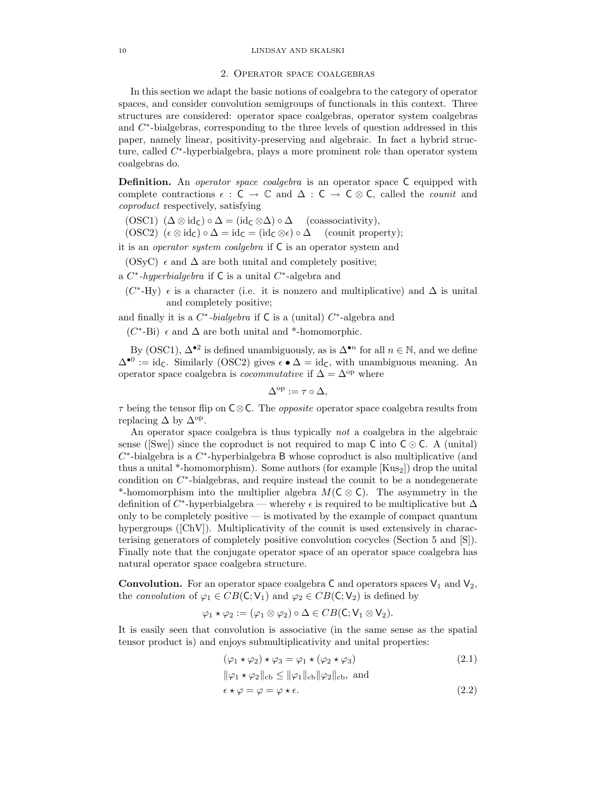# 10 LINDSAY AND SKALSKI

## 2. Operator space coalgebras

In this section we adapt the basic notions of coalgebra to the category of operator spaces, and consider convolution semigroups of functionals in this context. Three structures are considered: operator space coalgebras, operator system coalgebras and  $C^*$ -bialgebras, corresponding to the three levels of question addressed in this paper, namely linear, positivity-preserving and algebraic. In fact a hybrid structure, called C<sup>\*</sup>-hyperbialgebra, plays a more prominent role than operator system coalgebras do.

**Definition.** An *operator space coalgebra* is an operator space C equipped with complete contractions  $\epsilon : \mathsf{C} \to \mathbb{C}$  and  $\Delta : \mathsf{C} \to \mathsf{C} \otimes \mathsf{C}$ , called the *counit* and coproduct respectively, satisfying

(OSC1)  $(\Delta \otimes id_{\mathsf{C}}) \circ \Delta = (id_{\mathsf{C}} \otimes \Delta) \circ \Delta$  (coassociativity),

(OSC2)  $(\epsilon \otimes id_{\mathsf{C}}) \circ \Delta = id_{\mathsf{C}} = (id_{\mathsf{C}} \otimes \epsilon) \circ \Delta$  (counit property);

it is an operator system coalgebra if C is an operator system and

(OSyC)  $\epsilon$  and  $\Delta$  are both unital and completely positive;

a  $C^*$ -hyperbialgebra if C is a unital  $C^*$ -algebra and

 $(C^*$ -Hy)  $\epsilon$  is a character (i.e. it is nonzero and multiplicative) and  $\Delta$  is unital and completely positive;

and finally it is a  $C^*$ -bialgebra if C is a (unital)  $C^*$ -algebra and

 $(C^*$ -Bi)  $\epsilon$  and  $\Delta$  are both unital and \*-homomorphic.

By (OSC1),  $\Delta^{\bullet 2}$  is defined unambiguously, as is  $\Delta^{\bullet n}$  for all  $n \in \mathbb{N}$ , and we define  $\Delta^{\bullet 0} := \text{id}_{\mathsf{C}}$ . Similarly (OSC2) gives  $\epsilon \bullet \Delta = \text{id}_{\mathsf{C}}$ , with unambiguous meaning. An operator space coalgebra is *cocommutative* if  $\Delta = \Delta^{\rm op}$  where

$$
\Delta^{\mathrm{op}} := \tau \circ \Delta,
$$

 $\tau$  being the tensor flip on C⊗C. The *opposite* operator space coalgebra results from replacing  $\Delta$  by  $\Delta^{\text{op}}$ .

An operator space coalgebra is thus typically *not* a coalgebra in the algebraic sense ([Swe]) since the coproduct is not required to map  $\mathsf C$  into  $\mathsf C \odot \mathsf C$ . A (unital)  $C^*$ -bialgebra is a  $C^*$ -hyperbialgebra B whose coproduct is also multiplicative (and thus a unital \*-homomorphism). Some authors (for example  $[Kus_2]$ ) drop the unital condition on  $C^*$ -bialgebras, and require instead the counit to be a nondegenerate \*-homomorphism into the multiplier algebra  $M(\mathsf{C} \otimes \mathsf{C})$ . The asymmetry in the definition of C<sup>\*</sup>-hyperbialgebra — whereby  $\epsilon$  is required to be multiplicative but  $\Delta$ only to be completely positive — is motivated by the example of compact quantum hypergroups ([ChV]). Multiplicativity of the counit is used extensively in characterising generators of completely positive convolution cocycles (Section 5 and [S]). Finally note that the conjugate operator space of an operator space coalgebra has natural operator space coalgebra structure.

**Convolution.** For an operator space coalgebra C and operators spaces  $V_1$  and  $V_2$ , the convolution of  $\varphi_1 \in CB(\mathsf{C}; \mathsf{V}_1)$  and  $\varphi_2 \in CB(\mathsf{C}; \mathsf{V}_2)$  is defined by

 $\varphi_1 \star \varphi_2 := (\varphi_1 \otimes \varphi_2) \circ \Delta \in CB(\mathsf{C}; \mathsf{V}_1 \otimes \mathsf{V}_2).$ 

It is easily seen that convolution is associative (in the same sense as the spatial tensor product is) and enjoys submultiplicativity and unital properties:

$$
(\varphi_1 \star \varphi_2) \star \varphi_3 = \varphi_1 \star (\varphi_2 \star \varphi_3)
$$
\n(2.1)

$$
\|\varphi_1 \star \varphi_2\|_{\mathrm{cb}} \le \|\varphi_1\|_{\mathrm{cb}} \|\varphi_2\|_{\mathrm{cb}}, \text{ and}
$$

$$
\epsilon \star \varphi = \varphi = \varphi \star \epsilon. \tag{2.2}
$$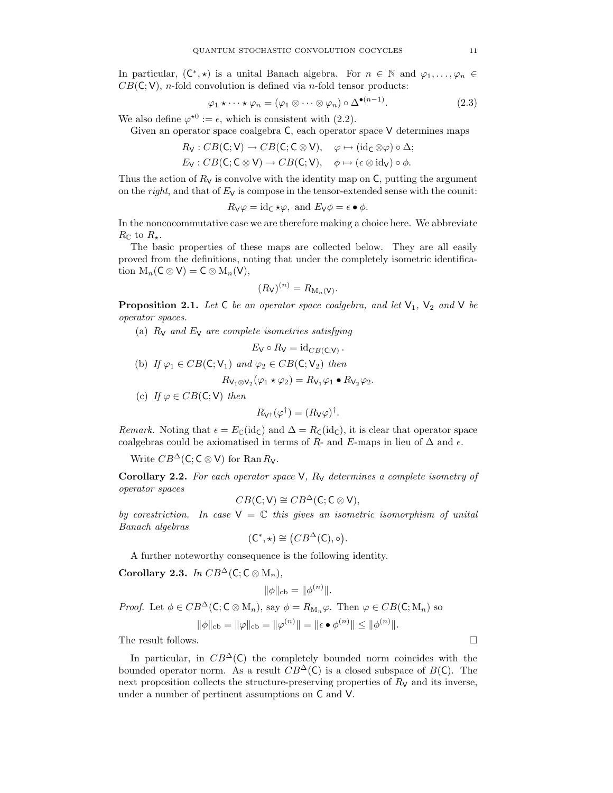In particular,  $(C^*, \star)$  is a unital Banach algebra. For  $n \in \mathbb{N}$  and  $\varphi_1, \ldots, \varphi_n \in$  $CB(\mathsf{C}; \mathsf{V})$ , *n*-fold convolution is defined via *n*-fold tensor products:

$$
\varphi_1 \star \cdots \star \varphi_n = (\varphi_1 \otimes \cdots \otimes \varphi_n) \circ \Delta^{\bullet(n-1)}.
$$
\n(2.3)

We also define  $\varphi^{\star 0} := \epsilon$ , which is consistent with (2.2).

Given an operator space coalgebra C, each operator space V determines maps

$$
R_{\mathsf{V}}: CB(\mathsf{C}; \mathsf{V}) \to CB(\mathsf{C}; \mathsf{C} \otimes \mathsf{V}), \quad \varphi \mapsto (\mathrm{id}_{\mathsf{C}} \otimes \varphi) \circ \Delta;
$$
  

$$
E_{\mathsf{V}}: CB(\mathsf{C}; \mathsf{C} \otimes \mathsf{V}) \to CB(\mathsf{C}; \mathsf{V}), \quad \phi \mapsto (\epsilon \otimes \mathrm{id}_{\mathsf{V}}) \circ \phi.
$$

Thus the action of  $R_V$  is convolve with the identity map on  $\mathsf{C}$ , putting the argument on the *right*, and that of  $E_V$  is compose in the tensor-extended sense with the counit:

$$
R_V \varphi = id_C \star \varphi
$$
, and  $E_V \phi = \epsilon \bullet \phi$ .

In the noncocommutative case we are therefore making a choice here. We abbreviate  $R_{\mathbb{C}}$  to  $R_{\star}$ .

The basic properties of these maps are collected below. They are all easily proved from the definitions, noting that under the completely isometric identification  $M_n(C \otimes V) = C \otimes M_n(V)$ ,

$$
(R_{\mathsf{V}})^{(n)} = R_{\mathsf{M}_n(\mathsf{V})}.
$$

**Proposition 2.1.** Let C be an operator space coalgebra, and let  $V_1$ ,  $V_2$  and V be operator spaces.

(a)  $R_V$  and  $E_V$  are complete isometries satisfying

$$
E_V \circ R_V = id_{CB(C;V)}.
$$

- (b) If  $\varphi_1 \in CB(\mathsf{C}; \mathsf{V}_1)$  and  $\varphi_2 \in CB(\mathsf{C}; \mathsf{V}_2)$  then  $R_{\mathsf{V}_1 \otimes \mathsf{V}_2}(\varphi_1 \star \varphi_2) = R_{\mathsf{V}_1} \varphi_1 \bullet R_{\mathsf{V}_2} \varphi_2.$
- (c) If  $\varphi \in CB(\mathsf{C}; \mathsf{V})$  then

$$
R_{\mathsf{V}^{\dagger}}(\varphi^{\dagger}) = (R_{\mathsf{V}}\varphi)^{\dagger}.
$$

Remark. Noting that  $\epsilon = E_{\mathbb{C}}(\text{id}_{\mathbb{C}})$  and  $\Delta = R_{\mathbb{C}}(\text{id}_{\mathbb{C}})$ , it is clear that operator space coalgebras could be axiomatised in terms of R- and E-maps in lieu of  $\Delta$  and  $\epsilon$ .

Write  $CB^{\Delta}(C; C \otimes V)$  for Ran  $R_V$ .

**Corollary 2.2.** For each operator space  $V$ ,  $R_V$  determines a complete isometry of operator spaces

$$
CB(\mathsf{C};\mathsf{V})\cong CB^{\Delta}(\mathsf{C};\mathsf{C}\otimes\mathsf{V}),
$$

by corestriction. In case  $V = \mathbb{C}$  this gives an isometric isomorphism of unital Banach algebras

$$
(\mathsf{C}^*,\star) \cong \big(CB^\Delta(\mathsf{C}),\circ\big).
$$

A further noteworthy consequence is the following identity.

Corollary 2.3. In  $CB^{\Delta}(\mathsf{C}; \mathsf{C} \otimes M_n)$ ,

$$
\|\phi\|_{\mathrm{cb}} = \|\phi^{(n)}\|.
$$

*Proof.* Let  $\phi \in CB^{\Delta}(\mathsf{C}; \mathsf{C} \otimes \mathsf{M}_n)$ , say  $\phi = R_{\mathsf{M}_n} \varphi$ . Then  $\varphi \in CB(\mathsf{C}; \mathsf{M}_n)$  so

$$
\|\phi\|_{\rm cb} = \|\varphi\|_{\rm cb} = \|\varphi^{(n)}\| = \|\epsilon \bullet \phi^{(n)}\| \le \|\phi^{(n)}\|.
$$

The result follows.

In particular, in  $CB^{\Delta}(C)$  the completely bounded norm coincides with the bounded operator norm. As a result  $CB^{\Delta}(\mathsf{C})$  is a closed subspace of  $B(\mathsf{C})$ . The next proposition collects the structure-preserving properties of  $R_V$  and its inverse, under a number of pertinent assumptions on C and V.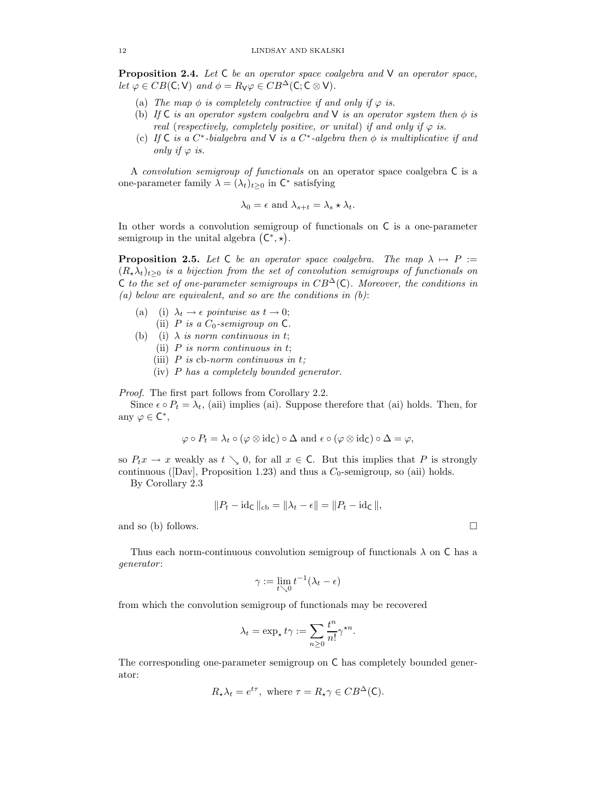**Proposition 2.4.** Let  $\mathsf{C}$  be an operator space coalgebra and  $\mathsf{V}$  an operator space, let  $\varphi \in CB(\mathsf{C}; \mathsf{V})$  and  $\phi = R_{\mathsf{V}} \varphi \in CB^{\Delta}(\mathsf{C}; \mathsf{C} \otimes \mathsf{V}).$ 

- (a) The map  $\phi$  is completely contractive if and only if  $\varphi$  is.
- (b) If C is an operator system coalgebra and V is an operator system then  $\phi$  is real (respectively, completely positive, or unital) if and only if  $\varphi$  is.
- (c) If  $C$  is a  $C^*$ -bialgebra and  $V$  is a  $C^*$ -algebra then  $\phi$  is multiplicative if and only if  $\varphi$  is.

A convolution semigroup of functionals on an operator space coalgebra C is a one-parameter family  $\lambda = (\lambda_t)_{t \geq 0}$  in  $\mathsf{C}^*$  satisfying

$$
\lambda_0 = \epsilon \text{ and } \lambda_{s+t} = \lambda_s \star \lambda_t.
$$

In other words a convolution semigroup of functionals on C is a one-parameter semigroup in the unital algebra  $(C^*,\star)$ .

**Proposition 2.5.** Let C be an operator space coalgebra. The map  $\lambda \mapsto P :=$  $(R_{\star}\lambda_t)_{t\geq0}$  is a bijection from the set of convolution semigroups of functionals on C to the set of one-parameter semigroups in  $CB^{\Delta}(\mathsf{C})$ . Moreover, the conditions in  $(a)$  below are equivalent, and so are the conditions in  $(b)$ :

- (a) (i)  $\lambda_t \to \epsilon$  pointwise as  $t \to 0$ ;
- (ii) P is a  $C_0$ -semigroup on C.
- (b) (i)  $\lambda$  is norm continuous in t;
	- (ii)  $P$  is norm continuous in  $t$ ;
	- (iii)  $P$  is cb-norm continuous in t;
	- (iv) P has a completely bounded generator.

Proof. The first part follows from Corollary 2.2.

Since  $\epsilon \circ P_t = \lambda_t$ , (aii) implies (ai). Suppose therefore that (ai) holds. Then, for any  $\varphi \in \mathsf{C}^*$ ,

$$
\varphi \circ P_t = \lambda_t \circ (\varphi \otimes id_{\mathsf{C}}) \circ \Delta \text{ and } \epsilon \circ (\varphi \otimes id_{\mathsf{C}}) \circ \Delta = \varphi,
$$

so  $P_t x \to x$  weakly as  $t \setminus 0$ , for all  $x \in \mathsf{C}$ . But this implies that P is strongly continuous ( $[Day]$ , Proposition 1.23) and thus a  $C_0$ -semigroup, so (aii) holds.

By Corollary 2.3

$$
||P_t - \mathrm{id}_{\mathsf{C}}||_{\mathrm{cb}} = ||\lambda_t - \epsilon|| = ||P_t - \mathrm{id}_{\mathsf{C}}||,
$$

and so (b) follows.  $\Box$ 

Thus each norm-continuous convolution semigroup of functionals  $\lambda$  on C has a generator :

$$
\gamma := \lim_{t \searrow 0} t^{-1} (\lambda_t - \epsilon)
$$

from which the convolution semigroup of functionals may be recovered

$$
\lambda_t = \exp_{\star} t \gamma := \sum_{n \geq 0} \frac{t^n}{n!} \gamma^{\star n}.
$$

The corresponding one-parameter semigroup on C has completely bounded generator:

$$
R_{\star}\lambda_t = e^{t\tau}
$$
, where  $\tau = R_{\star}\gamma \in CB^{\Delta}(C)$ .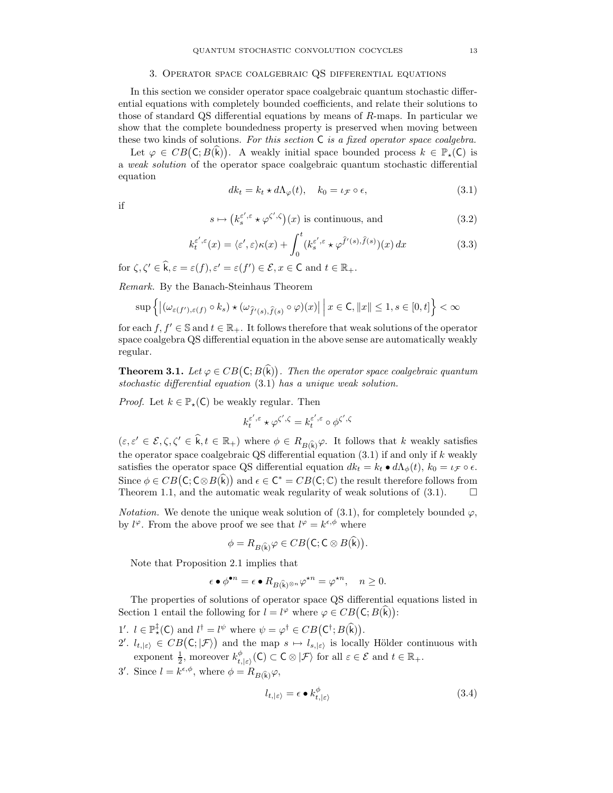# 3. Operator space coalgebraic QS differential equations

In this section we consider operator space coalgebraic quantum stochastic differential equations with completely bounded coefficients, and relate their solutions to those of standard QS differential equations by means of R-maps. In particular we show that the complete boundedness property is preserved when moving between these two kinds of solutions. For this section  $C$  is a fixed operator space coalgebra.

Let  $\varphi \in CB(\mathsf{C}; B(\widehat{\mathsf{k}}))$ . A weakly initial space bounded process  $k \in \mathbb{P}_\star(\mathsf{C})$  is a weak solution of the operator space coalgebraic quantum stochastic differential equation

$$
dk_t = k_t \star d\Lambda_{\varphi}(t), \quad k_0 = \iota_{\mathcal{F}} \circ \epsilon,
$$
\n(3.1)

if

$$
s \mapsto (k_s^{\varepsilon', \varepsilon} \star \varphi^{\zeta', \zeta})(x) \text{ is continuous, and} \tag{3.2}
$$

$$
k_t^{\varepsilon',\varepsilon}(x) = \langle \varepsilon', \varepsilon \rangle \kappa(x) + \int_0^t (k_s^{\varepsilon',\varepsilon} \star \varphi^{\widehat{f}'(s),\widehat{f}(s)})(x) dx \tag{3.3}
$$

for  $\zeta, \zeta' \in \widehat{\mathsf{k}}, \varepsilon = \varepsilon(f), \varepsilon' = \varepsilon(f') \in \mathcal{E}, x \in \mathsf{C} \text{ and } t \in \mathbb{R}_+$ .

Remark. By the Banach-Steinhaus Theorem

$$
\sup \left\{ \left| (\omega_{\varepsilon(f'), \varepsilon(f)} \circ k_s) \star (\omega_{\widehat{f}'(s), \widehat{f}(s)} \circ \varphi)(x) \right| \, \middle| \, x \in \mathsf{C}, \|x\| \leq 1, s \in [0, t] \right\} < \infty
$$

for each f,  $f' \in \mathbb{S}$  and  $t \in \mathbb{R}_+$ . It follows therefore that weak solutions of the operator space coalgebra QS differential equation in the above sense are automatically weakly regular.

**Theorem 3.1.** Let  $\varphi \in CB(\mathsf{C}; B(\widehat{\mathsf{k}}))$ . Then the operator space coalgebraic quantum stochastic differential equation (3.1) has a unique weak solution.

*Proof.* Let  $k \in \mathbb{P}_{\star}(\mathsf{C})$  be weakly regular. Then

$$
k^{\varepsilon',\varepsilon}_t\star\varphi^{\zeta',\zeta}=k^{\varepsilon',\varepsilon}_t\circ\phi^{\zeta',\zeta}
$$

 $(\varepsilon, \varepsilon' \in \mathcal{E}, \zeta, \zeta' \in \widehat{k}, t \in \mathbb{R}_+)$  where  $\phi \in R_{B(\widehat{k})}\varphi$ . It follows that k weakly satisfies the operator space coalgebraic QS differential equation  $(3.1)$  if and only if k weakly satisfies the operator space QS differential equation  $dk_t = k_t \bullet d\Lambda_{\phi}(t)$ ,  $k_0 = \iota_{\mathcal{F}} \circ \epsilon$ . Since  $\phi \in CB(\mathsf{C}; \mathsf{C} \otimes B(\widehat{\mathsf{k}}))$  and  $\epsilon \in \mathsf{C}^* = CB(\mathsf{C}; \mathbb{C})$  the result therefore follows from Theorem 1.1, and the automatic weak regularity of weak solutions of  $(3.1)$ .  $\Box$ 

*Notation.* We denote the unique weak solution of (3.1), for completely bounded  $\varphi$ , by  $l^{\varphi}$ . From the above proof we see that  $l^{\varphi} = k^{\epsilon, \phi}$  where

$$
\phi = R_{B(\widehat{\mathbf{k}})}\varphi \in CB\big(\mathsf{C};\mathsf{C} \otimes B(\widehat{\mathbf{k}})\big).
$$

Note that Proposition 2.1 implies that

$$
\epsilon \bullet \phi^{\bullet n} = \epsilon \bullet R_{B(\widehat{\mathbf{k}})^{\otimes n}} \varphi^{\star n} = \varphi^{\star n}, \quad n \ge 0.
$$

The properties of solutions of operator space QS differential equations listed in Section 1 entail the following for  $l = l^{\varphi}$  where  $\varphi \in CB(\mathsf{C}; B(\widehat{\mathsf{k}}))$ :

1'.  $l \in \mathbb{P}_{\star}^{\ddagger}(\mathsf{C})$  and  $l^{\dagger} = l^{\psi}$  where  $\psi = \varphi^{\dagger} \in CB(\mathsf{C}^{\dagger}; B(\widehat{\mathsf{k}})).$ 

- 2'.  $l_{t,|\varepsilon\rangle} \in CB(\mathsf{C};|\mathcal{F})$  and the map  $s \mapsto l_{s,|\varepsilon\rangle}$  is locally Hölder continuous with exponent  $\frac{1}{2}$ , moreover  $k_t^{\phi}$  $t_{t,|\varepsilon\rangle}^{\phi}(C) \subset C \otimes |\mathcal{F}\rangle$  for all  $\varepsilon \in \mathcal{E}$  and  $t \in \mathbb{R}_{+}$ .
- 3'. Since  $l = k^{\epsilon,\phi}$ , where  $\phi = R_{B(\hat{k})}\varphi$ ,

$$
l_{t,|\varepsilon\rangle} = \epsilon \bullet k_{t,|\varepsilon\rangle}^{\phi} \tag{3.4}
$$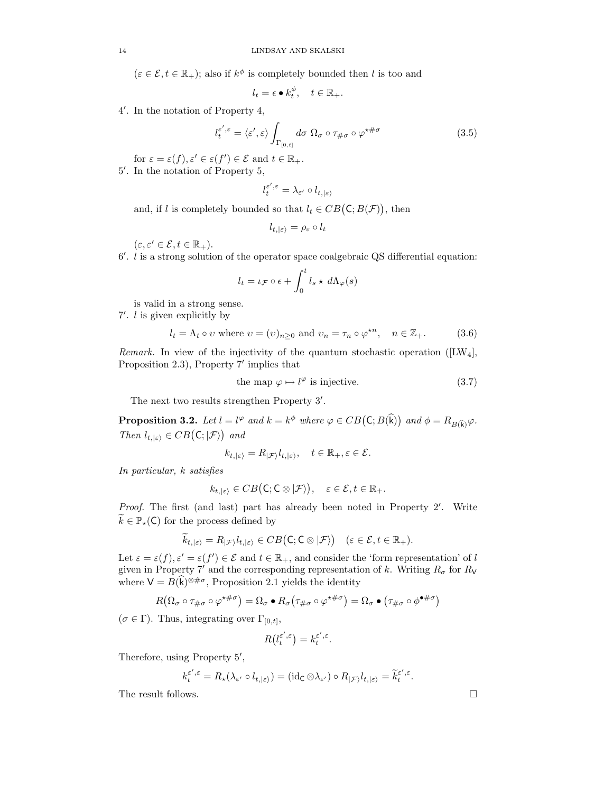$(\varepsilon \in \mathcal{E}, t \in \mathbb{R}_+)$ ; also if  $k^{\phi}$  is completely bounded then l is too and

$$
l_t = \epsilon \bullet k_t^{\phi}, \quad t \in \mathbb{R}_+.
$$

4 ′ . In the notation of Property 4,

$$
l_t^{\varepsilon',\varepsilon} = \langle \varepsilon', \varepsilon \rangle \int_{\Gamma[0,t]} d\sigma \; \Omega_{\sigma} \circ \tau_{\# \sigma} \circ \varphi^{*\# \sigma} \tag{3.5}
$$

for  $\varepsilon = \varepsilon(f), \varepsilon' \in \varepsilon(f') \in \mathcal{E}$  and  $t \in \mathbb{R}_+$ .

5 ′ . In the notation of Property 5,

$$
l^{\varepsilon',\varepsilon}_t=\lambda_{\varepsilon'}\circ l_{t,|\varepsilon\rangle}
$$

and, if l is completely bounded so that  $l_t \in CB(\mathsf{C}; B(\mathcal{F}))$ , then

$$
l_{t,|\varepsilon\rangle} = \rho_{\varepsilon} \circ l_t
$$

 $(\varepsilon, \varepsilon' \in \mathcal{E}, t \in \mathbb{R}_+).$ 

6 ′ . l is a strong solution of the operator space coalgebraic QS differential equation:

$$
l_t = \iota_{\mathcal{F}} \circ \epsilon + \int_0^t l_s \star \, d\Lambda_{\varphi}(s)
$$

is valid in a strong sense.

 $7'.$  *l* is given explicitly by

$$
l_t = \Lambda_t \circ v
$$
 where  $v = (v)_{n \ge 0}$  and  $v_n = \tau_n \circ \varphi^{*n}$ ,  $n \in \mathbb{Z}_+$ . (3.6)

Remark. In view of the injectivity of the quantum stochastic operation ( $[LW_4]$ , Proposition 2.3), Property 7′ implies that

the map 
$$
\varphi \mapsto l^{\varphi}
$$
 is injective. (3.7)

The next two results strengthen Property 3′ .

**Proposition 3.2.** Let  $l = l^{\varphi}$  and  $k = k^{\phi}$  where  $\varphi \in CB(\mathsf{C}; B(\widehat{\mathsf{k}}))$  and  $\phi = R_{B(\widehat{\mathsf{k}})}\varphi$ . Then  $l_{t, |\varepsilon} \in CB(\mathsf{C}; |\mathcal{F})$  and

$$
k_{t,|\varepsilon\rangle} = R_{|\mathcal{F}\rangle} l_{t,|\varepsilon\rangle}, \quad t \in \mathbb{R}_+, \varepsilon \in \mathcal{E}.
$$

In particular, k satisfies

$$
k_{t,|\varepsilon\rangle} \in CB\big(\mathsf{C};\mathsf{C}\otimes|\mathcal{F}\rangle\big), \quad \varepsilon\in\mathcal{E}, t\in\mathbb{R}_+.
$$

Proof. The first (and last) part has already been noted in Property 2'. Write  $k \in \mathbb{P}_\star(\mathsf{C})$  for the process defined by

$$
\widetilde{k}_{t,|\varepsilon\rangle} = R_{|\mathcal{F}\rangle} l_{t,|\varepsilon\rangle} \in CB\big(\mathsf{C};\mathsf{C} \otimes |\mathcal{F}\rangle\big) \quad (\varepsilon \in \mathcal{E}, t \in \mathbb{R}_+).
$$

Let  $\varepsilon = \varepsilon(f), \varepsilon' = \varepsilon(f') \in \mathcal{E}$  and  $t \in \mathbb{R}_+$ , and consider the 'form representation' of l given in Property 7' and the corresponding representation of k. Writing  $R_{\sigma}$  for  $R_{\rm V}$ where  $V = B(\widehat{k})^{\otimes \# \sigma}$ , Proposition 2.1 yields the identity

$$
R(\Omega_{\sigma} \circ \tau_{\# \sigma} \circ \varphi^{\star \# \sigma}) = \Omega_{\sigma} \bullet R_{\sigma}(\tau_{\# \sigma} \circ \varphi^{\star \# \sigma}) = \Omega_{\sigma} \bullet (\tau_{\# \sigma} \circ \varphi^{\bullet \# \sigma})
$$

 $(\sigma \in \Gamma)$ . Thus, integrating over  $\Gamma_{[0,t]},$ 

$$
R(l_t^{\varepsilon',\varepsilon}) = k_t^{\varepsilon',\varepsilon}.
$$

Therefore, using Property 5′ , k

$$
k_t^{\varepsilon',\varepsilon} = R_{\star}(\lambda_{\varepsilon'} \circ l_{t,|\varepsilon\rangle}) = (\mathrm{id}_{\mathsf{C}} \otimes \lambda_{\varepsilon'}) \circ R_{|\mathcal{F}\rangle} l_{t,|\varepsilon\rangle} = \widetilde{k}_t^{\varepsilon',\varepsilon}.
$$

The result follows.  $\Box$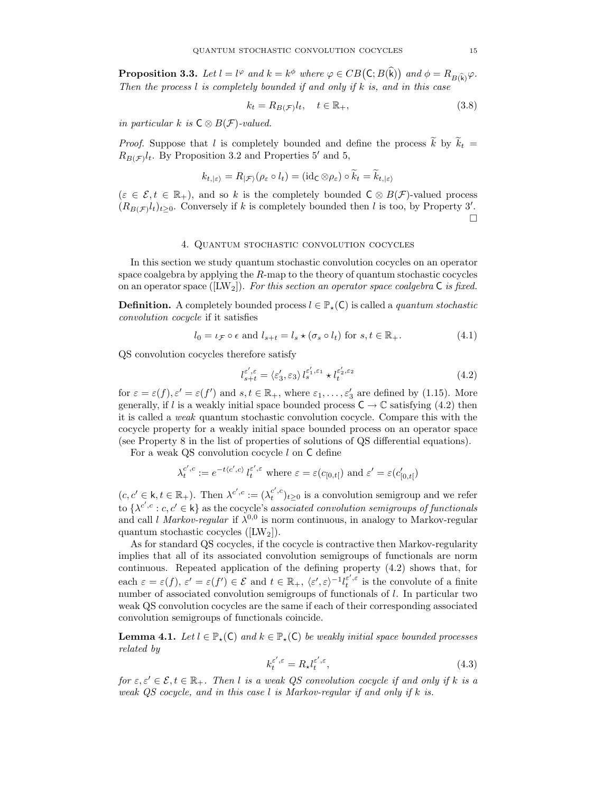**Proposition 3.3.** Let  $l = l^{\varphi}$  and  $k = k^{\phi}$  where  $\varphi \in CB(C; B(\widehat{k}))$  and  $\phi = R_{B(\widehat{k})} \varphi$ . Then the process  $l$  is completely bounded if and only if  $k$  is, and in this case

$$
k_t = R_{B(\mathcal{F})} l_t, \quad t \in \mathbb{R}_+, \tag{3.8}
$$

in particular k is  $C \otimes B(\mathcal{F})$ -valued.

*Proof.* Suppose that l is completely bounded and define the process  $\widetilde{k}$  by  $\widetilde{k}_t$  =  $R_{B(\mathcal{F})}l_t$ . By Proposition 3.2 and Properties 5' and 5,

$$
k_{t,|\varepsilon\rangle} = R_{|\mathcal{F}\rangle}(\rho_{\varepsilon} \circ l_t) = (\mathrm{id}_{\mathsf{C}} \otimes \rho_{\varepsilon}) \circ k_t = k_{t,|\varepsilon\rangle}
$$

 $(\varepsilon \in \mathcal{E}, t \in \mathbb{R}_+)$ , and so k is the completely bounded  $C \otimes B(\mathcal{F})$ -valued process  $(R_{B(\mathcal{F})}l_t)_{t\geq0}$ . Conversely if k is completely bounded then l is too, by Property 3'.  $\Box$ 

#### 4. Quantum stochastic convolution cocycles

In this section we study quantum stochastic convolution cocycles on an operator space coalgebra by applying the R-map to the theory of quantum stochastic cocycles on an operator space ([LW<sub>2</sub>]). For this section an operator space coalgebra  $\mathsf C$  is fixed.

**Definition.** A completely bounded process  $l \in \mathbb{P}_*(\mathsf{C})$  is called a *quantum stochastic* convolution cocycle if it satisfies

$$
l_0 = \iota_{\mathcal{F}} \circ \epsilon \text{ and } l_{s+t} = l_s \star (\sigma_s \circ l_t) \text{ for } s, t \in \mathbb{R}_+.
$$
 (4.1)

QS convolution cocycles therefore satisfy

$$
l_{s+t}^{\varepsilon',\varepsilon} = \langle \varepsilon_3', \varepsilon_3 \rangle l_s^{\varepsilon_1',\varepsilon_1} \star l_t^{\varepsilon_2',\varepsilon_2}
$$
\n(4.2)

for  $\varepsilon = \varepsilon(f)$ ,  $\varepsilon' = \varepsilon(f')$  and  $s, t \in \mathbb{R}_+$ , where  $\varepsilon_1, \ldots, \varepsilon'_3$  are defined by (1.15). More generally, if l is a weakly initial space bounded process  $C \to \mathbb{C}$  satisfying (4.2) then it is called a weak quantum stochastic convolution cocycle. Compare this with the cocycle property for a weakly initial space bounded process on an operator space (see Property 8 in the list of properties of solutions of QS differential equations).

For a weak QS convolution cocycle  $l$  on  $\mathsf C$  define

$$
\lambda_t^{c',c} := e^{-t\langle c',c\rangle} \, l_t^{\varepsilon',\varepsilon} \text{ where } \varepsilon = \varepsilon(c_{[0,t[}) \text{ and } \varepsilon' = \varepsilon(c'_{[0,t[})
$$

 $(c, c' \in \mathsf{k}, t \in \mathbb{R}_+)$ . Then  $\lambda^{c', c} := (\lambda_t^{c', c})_{t \geq 0}$  is a convolution semigroup and we refer to  $\{\lambda^{c', c}: c, c' \in \mathsf{k}\}$  as the cocycle's associated convolution semigroups of functionals and call l Markov-regular if  $\lambda^{0,0}$  is norm continuous, in analogy to Markov-regular quantum stochastic cocycles  $([LW_2])$ .

As for standard QS cocycles, if the cocycle is contractive then Markov-regularity implies that all of its associated convolution semigroups of functionals are norm continuous. Repeated application of the defining property (4.2) shows that, for each  $\varepsilon = \varepsilon(f)$ ,  $\varepsilon' = \varepsilon(f') \in \mathcal{E}$  and  $t \in \mathbb{R}_+$ ,  $\langle \varepsilon', \varepsilon \rangle^{-1} l_t^{\varepsilon', \varepsilon}$  is the convolute of a finite number of associated convolution semigroups of functionals of l. In particular two weak QS convolution cocycles are the same if each of their corresponding associated convolution semigroups of functionals coincide.

**Lemma 4.1.** Let  $l \in \mathbb{P}_*(\mathsf{C})$  and  $k \in \mathbb{P}_*(\mathsf{C})$  be weakly initial space bounded processes related by

$$
k_t^{\varepsilon', \varepsilon} = R_\star l_t^{\varepsilon', \varepsilon},\tag{4.3}
$$

for  $\varepsilon, \varepsilon' \in \mathcal{E}, t \in \mathbb{R}_+$ . Then l is a weak QS convolution cocycle if and only if k is a weak QS cocycle, and in this case l is Markov-regular if and only if k is.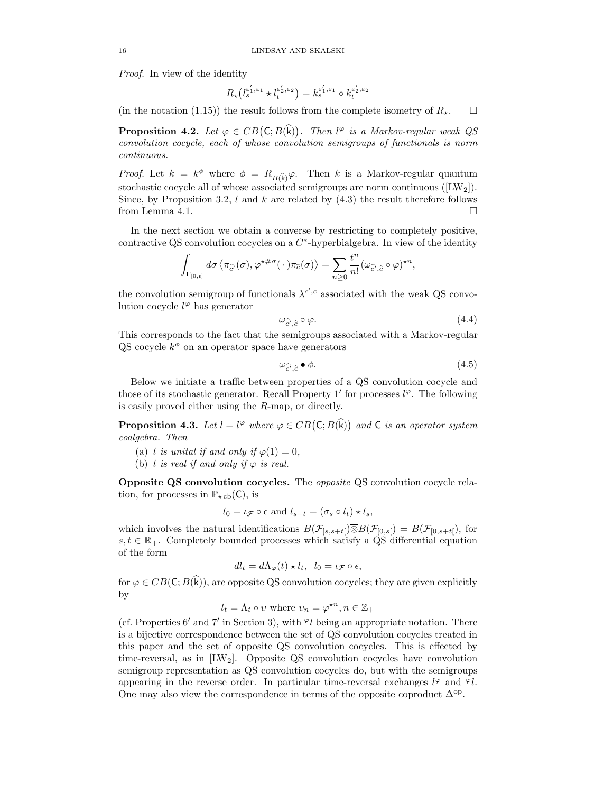Proof. In view of the identity

$$
R_\star \big(l_s^{\varepsilon_1',\varepsilon_1} \star l_t^{\varepsilon_2',\varepsilon_2}\big) = k_s^{\varepsilon_1',\varepsilon_1} \circ k_t^{\varepsilon_2',\varepsilon_2}
$$

(in the notation (1.15)) the result follows from the complete isometry of  $R_{\star}$ .

**Proposition 4.2.** Let  $\varphi \in CB(\mathsf{C}; B(\widehat{\mathsf{k}}))$ . Then  $l^{\varphi}$  is a Markov-regular weak QS convolution cocycle, each of whose convolution semigroups of functionals is norm continuous.

*Proof.* Let  $k = k^{\phi}$  where  $\phi = R_{B(\mathbf{k})} \varphi$ . Then k is a Markov-regular quantum stochastic cocycle all of whose associated semigroups are norm continuous ( $[LW_2]$ ). Since, by Proposition 3.2, l and k are related by  $(4.3)$  the result therefore follows from Lemma 4.1.

In the next section we obtain a converse by restricting to completely positive, contractive QS convolution cocycles on a  $C^*$ -hyperbialgebra. In view of the identity

$$
\int_{\Gamma_{[0,t]}}d\sigma\left\langle \pi_{\widehat{c'}}(\sigma),\varphi^{\star\#\sigma}(\,\cdot\,)\pi_{\widehat{c}}(\sigma)\right\rangle =\sum_{n\geq 0}\frac{t^n}{n!}(\omega_{\widehat{c'},\widehat{c}}\circ\varphi)^{\star n},
$$

the convolution semigroup of functionals  $\lambda^{c',c}$  associated with the weak QS convolution cocycle  $l^{\varphi}$  has generator

$$
\omega_{\hat{c}',\hat{c}} \circ \varphi. \tag{4.4}
$$

This corresponds to the fact that the semigroups associated with a Markov-regular QS cocycle  $k^{\phi}$  on an operator space have generators

$$
\omega_{\hat{c}',\hat{c}} \bullet \phi. \tag{4.5}
$$

Below we initiate a traffic between properties of a QS convolution cocycle and those of its stochastic generator. Recall Property 1' for processes  $l^{\varphi}$ . The following is easily proved either using the R-map, or directly.

**Proposition 4.3.** Let  $l = l^{\varphi}$  where  $\varphi \in CB(\mathsf{C}; B(\widehat{\mathsf{k}}))$  and  $\mathsf{C}$  is an operator system coalgebra. Then

- (a) l is unital if and only if  $\varphi(1) = 0$ ,
- (b) l is real if and only if  $\varphi$  is real.

Opposite QS convolution cocycles. The opposite QS convolution cocycle relation, for processes in  $\mathbb{P}_{\star \text{cb}}(\mathsf{C})$ , is

$$
l_0 = \iota_{\mathcal{F}} \circ \epsilon
$$
 and  $l_{s+t} = (\sigma_s \circ l_t) \star l_s$ ,

which involves the natural identifications  $B(\mathcal{F}_{[s,s+t]})\overline{\otimes}B(\mathcal{F}_{[0,s]}) = B(\mathcal{F}_{[0,s+t]})$ , for  $s, t \in \mathbb{R}_+$ . Completely bounded processes which satisfy a QS differential equation of the form

$$
dl_t = d\Lambda_{\varphi}(t) \star l_t, \ \ l_0 = \iota_{\mathcal{F}} \circ \epsilon,
$$

for  $\varphi \in CB(\mathsf{C}; B(\widehat{\mathsf{k}}))$ , are opposite QS convolution cocycles; they are given explicitly by

$$
l_t = \Lambda_t \circ v
$$
 where  $v_n = \varphi^{\star n}, n \in \mathbb{Z}_+$ 

(cf. Properties  $6'$  and  $7'$  in Section 3), with  $\mathcal{V}l$  being an appropriate notation. There is a bijective correspondence between the set of QS convolution cocycles treated in this paper and the set of opposite QS convolution cocycles. This is effected by time-reversal, as in  $[{\rm LW}_2]$ . Opposite QS convolution cocycles have convolution semigroup representation as QS convolution cocycles do, but with the semigroups appearing in the reverse order. In particular time-reversal exchanges  $l^{\varphi}$  and  $\varphi l$ . One may also view the correspondence in terms of the opposite coproduct  $\Delta^{\rm op}$ .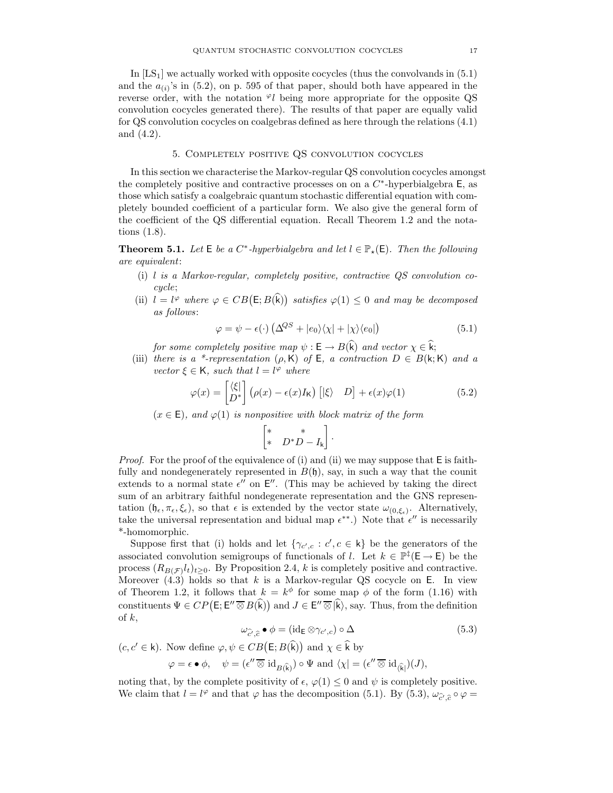In  $|LS_1|$  we actually worked with opposite cocycles (thus the convolvands in  $(5.1)$ ) and the  $a_{(i)}$ 's in (5.2), on p. 595 of that paper, should both have appeared in the reverse order, with the notation  $\mathcal{V}_l$  being more appropriate for the opposite QS convolution cocycles generated there). The results of that paper are equally valid for QS convolution cocycles on coalgebras defined as here through the relations (4.1) and (4.2).

# 5. Completely positive QS convolution cocycles

In this section we characterise the Markov-regular QS convolution cocycles amongst the completely positive and contractive processes on on a  $C^*$ -hyperbialgebra  $E$ , as those which satisfy a coalgebraic quantum stochastic differential equation with completely bounded coefficient of a particular form. We also give the general form of the coefficient of the QS differential equation. Recall Theorem 1.2 and the notations (1.8).

**Theorem 5.1.** Let  $E$  be a  $C^*$ -hyperbialgebra and let  $l \in \mathbb{P}_*(E)$ . Then the following are equivalent:

- (i) l is a Markov-regular, completely positive, contractive QS convolution cocycle;
- (ii)  $l = l^{\varphi}$  where  $\varphi \in CB(\mathsf{E}; B(\widehat{\mathsf{k}}))$  satisfies  $\varphi(1) \leq 0$  and may be decomposed as follows:

$$
\varphi = \psi - \epsilon(\cdot) \left( \Delta^{QS} + |e_0\rangle\langle\chi| + |\chi\rangle\langle e_0| \right) \tag{5.1}
$$

for some completely positive map  $\psi : \mathsf{E} \to B(\widehat{\mathsf{k}})$  and vector  $\chi \in \widehat{\mathsf{k}}$ ;

(iii) there is a \*-representation  $(\rho, K)$  of E, a contraction  $D \in B(k; K)$  and a vector  $\xi \in \mathsf{K}$ , such that  $l = l^{\varphi}$  where

$$
\varphi(x) = \begin{bmatrix} \langle \xi | \\ D^* \end{bmatrix} \left( \rho(x) - \epsilon(x) I_{\mathsf{K}} \right) \left[ |\xi \rangle \quad D \right] + \epsilon(x) \varphi(1) \tag{5.2}
$$

.

 $(x \in \mathsf{E})$ , and  $\varphi(1)$  is nonpositive with block matrix of the form

$$
\begin{bmatrix} * & * \\ * & D^*D - I_k \end{bmatrix}
$$

*Proof.* For the proof of the equivalence of (i) and (ii) we may suppose that  $E$  is faithfully and nondegenerately represented in  $B(\mathfrak{h})$ , say, in such a way that the counit extends to a normal state  $\epsilon''$  on  $\mathsf{E}''$ . (This may be achieved by taking the direct sum of an arbitrary faithful nondegenerate representation and the GNS representation  $(\mathfrak{h}_{\epsilon}, \pi_{\epsilon}, \xi_{\epsilon})$ , so that  $\epsilon$  is extended by the vector state  $\omega_{(0,\xi_{\epsilon})}$ . Alternatively, take the universal representation and bidual map  $\epsilon^{**}$ .) Note that  $\epsilon''$  is necessarily \*-homomorphic.

Suppose first that (i) holds and let  $\{\gamma_{c',c} : c', c \in \mathsf{k}\}\)$  be the generators of the associated convolution semigroups of functionals of l. Let  $k \in \mathbb{P}^{\ddagger}(\mathsf{E} \to \mathsf{E})$  be the process  $(R_{B(\mathcal{F})}l_t)_{t\geq0}$ . By Proposition 2.4, k is completely positive and contractive. Moreover  $(4.3)$  holds so that k is a Markov-regular QS cocycle on E. In view of Theorem 1.2, it follows that  $k = k^{\phi}$  for some map  $\phi$  of the form (1.16) with constituents  $\Psi \in CP(\mathsf{E}; \mathsf{E}'' \,\overline{\otimes}\, B(\widehat{k}))$  and  $J \in \mathsf{E}'' \,\overline{\otimes}\, \widehat{|k\rangle}$ , say. Thus, from the definition of  $k$ ,

$$
\omega_{\hat{c}',\hat{c}} \bullet \phi = (\mathrm{id}_{\mathsf{E}} \otimes \gamma_{c',c}) \circ \Delta \tag{5.3}
$$

 $(c, c' \in \mathsf{k})$ . Now define  $\varphi, \psi \in CB(\mathsf{E}; B(\widehat{\mathsf{k}}))$  and  $\chi \in \widehat{\mathsf{k}}$  by

$$
\varphi = \epsilon \bullet \phi, \quad \psi = (\epsilon'' \overline{\otimes} \mathrm{id}_{B(\widehat{k})}) \circ \Psi \text{ and } \langle \chi | = (\epsilon'' \overline{\otimes} \mathrm{id}_{\langle \widehat{k} |}) (J),
$$

noting that, by the complete positivity of  $\epsilon$ ,  $\varphi(1) \leq 0$  and  $\psi$  is completely positive. We claim that  $l = l^{\varphi}$  and that  $\varphi$  has the decomposition (5.1). By (5.3),  $\omega_{\hat{c}',\hat{c}} \circ \varphi =$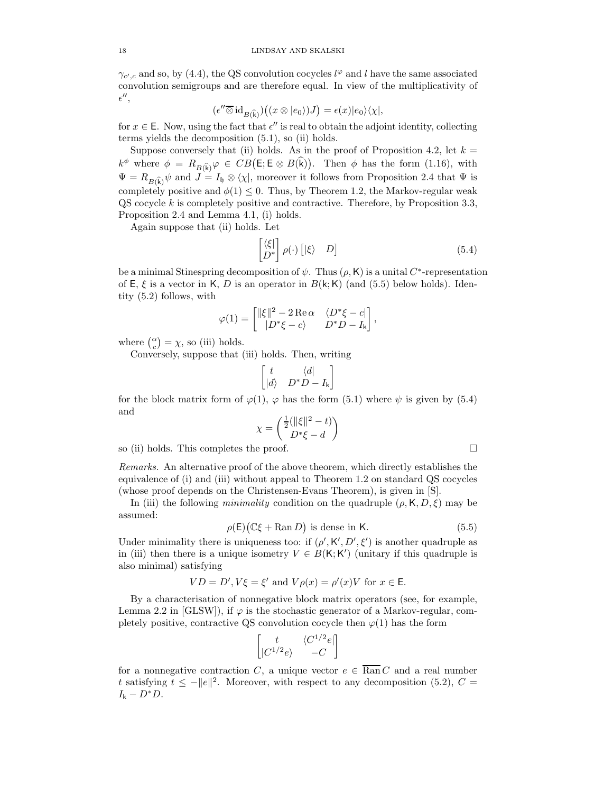$\gamma_{c',c}$  and so, by (4.4), the QS convolution cocycles  $l^{\varphi}$  and l have the same associated convolution semigroups and are therefore equal. In view of the multiplicativity of  $\epsilon^{\prime\prime},$ 

$$
(\epsilon'' \overline{\otimes} \mathrm{id}_{B(\widehat{\mathbf{k}})})((x \otimes |e_0\rangle)J) = \epsilon(x)|e_0\rangle\langle\chi|,
$$

for  $x \in \mathsf{E}$ . Now, using the fact that  $\epsilon''$  is real to obtain the adjoint identity, collecting terms yields the decomposition (5.1), so (ii) holds.

Suppose conversely that (ii) holds. As in the proof of Proposition 4.2, let  $k =$  $k^{\phi}$  where  $\phi = R_{B(\hat{k})} \varphi \in CB(\mathsf{E}; \mathsf{E} \otimes B(\hat{k}))$ . Then  $\phi$  has the form (1.16), with  $\Psi = R_{B(\hat{k})} \psi$  and  $J = I_{\mathfrak{h}} \otimes \langle \chi |$ , moreover it follows from Proposition 2.4 that  $\Psi$  is completely positive and  $\phi(1) \leq 0$ . Thus, by Theorem 1.2, the Markov-regular weak  $\text{QS}$  cocycle k is completely positive and contractive. Therefore, by Proposition 3.3, Proposition 2.4 and Lemma 4.1, (i) holds.

Again suppose that (ii) holds. Let

$$
\begin{bmatrix} \langle \xi | \\ D^* \end{bmatrix} \rho(\cdot) \begin{bmatrix} |\xi \rangle & D \end{bmatrix} \tag{5.4}
$$

be a minimal Stinespring decomposition of  $\psi$ . Thus  $(\rho, K)$  is a unital C<sup>\*</sup>-representation of  $E, \xi$  is a vector in K, D is an operator in  $B(k; K)$  (and (5.5) below holds). Identity (5.2) follows, with

$$
\varphi(1) = \begin{bmatrix} \|\xi\|^2 - 2 \operatorname{Re} \alpha & \langle D^* \xi - c| \\ |D^* \xi - c \rangle & D^* D - I_{\mathsf{k}} \end{bmatrix},
$$

where  $\binom{\alpha}{c} = \chi$ , so (iii) holds.

Conversely, suppose that (iii) holds. Then, writing

$$
\begin{bmatrix} t & \langle d| \\ |d\rangle & D^*D-I_{\bf k} \end{bmatrix}
$$

for the block matrix form of  $\varphi(1)$ ,  $\varphi$  has the form (5.1) where  $\psi$  is given by (5.4) and

$$
\chi = \begin{pmatrix} \frac{1}{2}(\|\xi\|^2 - t) \\ D^*\xi - d \end{pmatrix}
$$

so (ii) holds. This completes the proof.  $\Box$ 

Remarks. An alternative proof of the above theorem, which directly establishes the equivalence of (i) and (iii) without appeal to Theorem 1.2 on standard QS cocycles (whose proof depends on the Christensen-Evans Theorem), is given in [S].

In (iii) the following *minimality* condition on the quadruple  $(\rho, K, D, \xi)$  may be assumed:

$$
\rho(E)(\mathbb{C}\xi + \text{Ran}\,D) \text{ is dense in } \mathsf{K}.\tag{5.5}
$$

Under minimality there is uniqueness too: if  $(\rho', K', D', \xi')$  is another quadruple as in (iii) then there is a unique isometry  $V \in B(K; K')$  (unitary if this quadruple is also minimal) satisfying

$$
VD = D', V\xi = \xi'
$$
 and  $V\rho(x) = \rho'(x)V$  for  $x \in E$ .

By a characterisation of nonnegative block matrix operators (see, for example, Lemma 2.2 in [GLSW]), if  $\varphi$  is the stochastic generator of a Markov-regular, completely positive, contractive QS convolution cocycle then  $\varphi(1)$  has the form

$$
\begin{bmatrix} t & \langle C^{1/2} e | \\ |C^{1/2} e \rangle & -C \end{bmatrix}
$$

for a nonnegative contraction C, a unique vector  $e \in \overline{Ran} C$  and a real number t satisfying  $t \leq -||e||^2$ . Moreover, with respect to any decomposition (5.2),  $C =$  $I_k - D^*D$ .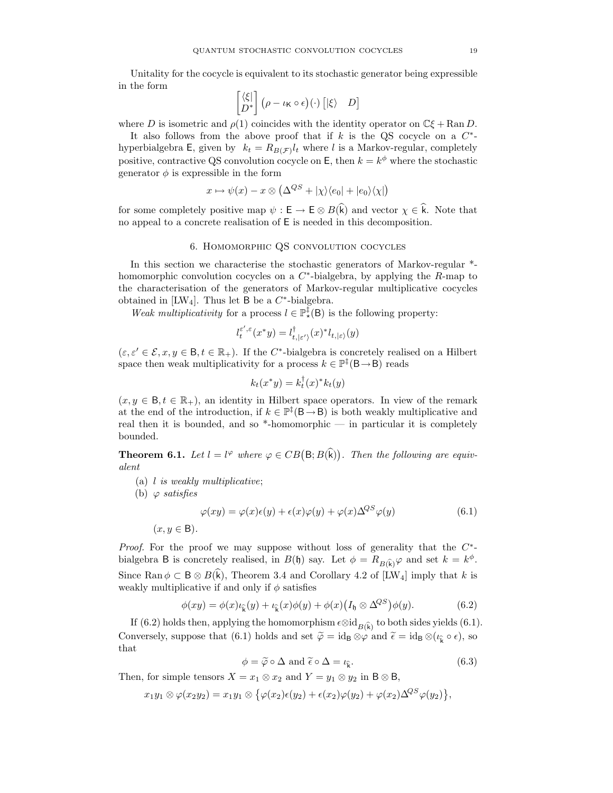Unitality for the cocycle is equivalent to its stochastic generator being expressible in the form  $\sqrt{ }$ 

$$
\begin{bmatrix} \langle \xi | \\ D^* \end{bmatrix} \left( \rho - \iota_{\mathsf{K}} \circ \epsilon \right) (\cdot) \left[ |\xi \rangle \quad D \right]
$$

where D is isometric and  $\rho(1)$  coincides with the identity operator on  $\mathbb{C}\xi + \text{Ran } D$ .

It also follows from the above proof that if  $k$  is the QS cocycle on a  $C^*$ hyperbialgebra **E**, given by  $k_t = R_{B(\mathcal{F})}l_t$  where l is a Markov-regular, completely positive, contractive QS convolution cocycle on  $\mathsf{E}$ , then  $k = k^{\phi}$  where the stochastic generator  $\phi$  is expressible in the form

$$
x \mapsto \psi(x) - x \otimes (\Delta^{QS} + |\chi\rangle\langle e_0| + |e_0\rangle\langle \chi|)
$$

for some completely positive map  $\psi : \mathsf{E} \to \mathsf{E} \otimes B(\widehat{\mathsf{k}})$  and vector  $\chi \in \widehat{\mathsf{k}}$ . Note that no appeal to a concrete realisation of E is needed in this decomposition.

# 6. Homomorphic QS convolution cocycles

In this section we characterise the stochastic generators of Markov-regular \* homomorphic convolution cocycles on a  $C^*$ -bialgebra, by applying the R-map to the characterisation of the generators of Markov-regular multiplicative cocycles obtained in [LW<sub>4</sub>]. Thus let B be a  $C^*$ -bialgebra.

Weak multiplicativity for a process  $l \in \mathbb{P}_{\star}^{\ddagger}(\mathsf{B})$  is the following property:

$$
l_t^{\varepsilon',\varepsilon}(x^*y) = l_{t,|\varepsilon'}^{\dagger}(x)^* l_{t,|\varepsilon\rangle}(y)
$$

 $(\varepsilon, \varepsilon' \in \mathcal{E}, x, y \in \mathsf{B}, t \in \mathbb{R}_+).$  If the C<sup>\*</sup>-bialgebra is concretely realised on a Hilbert space then weak multiplicativity for a process  $k \in \mathbb{P}^{\ddagger}(\mathsf{B} \to \mathsf{B})$  reads

$$
k_t(x^*y) = k_t^{\dagger}(x)^*k_t(y)
$$

 $(x, y \in \mathsf{B}, t \in \mathbb{R}_+)$ , an identity in Hilbert space operators. In view of the remark at the end of the introduction, if  $k \in \mathbb{P}^{\ddagger}(\mathsf{B} \to \mathsf{B})$  is both weakly multiplicative and real then it is bounded, and so \*-homomorphic — in particular it is completely bounded.

**Theorem 6.1.** Let  $l = l^{\varphi}$  where  $\varphi \in CB(\mathsf{B}; B(\widehat{\mathsf{k}}))$ . Then the following are equivalent

- (a) l is weakly multiplicative;
- (b)  $\varphi$  satisfies

$$
\varphi(xy) = \varphi(x)\epsilon(y) + \epsilon(x)\varphi(y) + \varphi(x)\Delta^{QS}\varphi(y)
$$
(6.1)  

$$
(x, y \in \mathsf{B}).
$$

*Proof.* For the proof we may suppose without loss of generality that the  $C^*$ bialgebra B is concretely realised, in  $B(\mathfrak{h})$  say. Let  $\phi = R_{B(\mathfrak{h})} \varphi$  and set  $k = k^{\phi}$ . Since Ran  $\phi \subset \mathsf{B} \otimes B(\hat{k})$ , Theorem 3.4 and Corollary 4.2 of [LW<sub>4</sub>] imply that k is weakly multiplicative if and only if  $\phi$  satisfies

$$
\phi(xy) = \phi(x)\iota_{\widehat{k}}(y) + \iota_{\widehat{k}}(x)\phi(y) + \phi(x)\big(I_{\mathfrak{h}} \otimes \Delta^{QS}\big)\phi(y). \tag{6.2}
$$

If (6.2) holds then, applying the homomorphism  $\epsilon \otimes id_{B(\hat{k})}$  to both sides yields (6.1). Conversely, suppose that (6.1) holds and set  $\tilde{\varphi} = id_B \otimes \varphi$  and  $\tilde{\epsilon} = id_B \otimes (\iota_{\hat{k}} \circ \epsilon)$ , so that

$$
\phi = \tilde{\varphi} \circ \Delta \text{ and } \tilde{\epsilon} \circ \Delta = \iota_{\hat{k}}.\tag{6.3}
$$

Then, for simple tensors  $X = x_1 \otimes x_2$  and  $Y = y_1 \otimes y_2$  in  $\mathsf{B} \otimes \mathsf{B}$ ,

$$
x_1y_1 \otimes \varphi(x_2y_2) = x_1y_1 \otimes \big\{ \varphi(x_2)\epsilon(y_2) + \epsilon(x_2)\varphi(y_2) + \varphi(x_2)\Delta^{QS}\varphi(y_2) \big\},
$$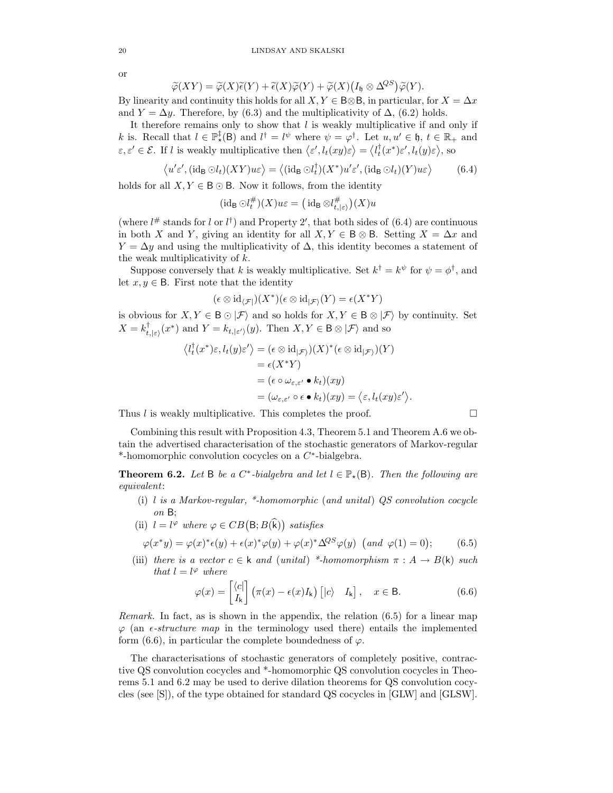or

$$
\widetilde{\varphi}(XY) = \widetilde{\varphi}(X)\widetilde{\epsilon}(Y) + \widetilde{\epsilon}(X)\widetilde{\varphi}(Y) + \widetilde{\varphi}(X)\big(I_0 \otimes \Delta^{QS}\big)\widetilde{\varphi}(Y).
$$

By linearity and continuity this holds for all  $X, Y \in B \otimes B$ , in particular, for  $X = \Delta x$ and  $Y = \Delta y$ . Therefore, by (6.3) and the multiplicativity of  $\Delta$ , (6.2) holds.

It therefore remains only to show that  $l$  is weakly multiplicative if and only if k is. Recall that  $l \in \mathbb{P}_{\star}^{\ddagger}(\mathsf{B})$  and  $l^{\dagger} = l^{\psi}$  where  $\psi = \varphi^{\dagger}$ . Let  $u, u' \in \mathfrak{h}, t \in \mathbb{R}_{+}$  and  $\varepsilon, \varepsilon' \in \mathcal{E}$ . If l is weakly multiplicative then  $\langle \varepsilon', l_t(xy)\varepsilon \rangle = \langle l_t^{\dagger}(x^*)\varepsilon', l_t(y)\varepsilon \rangle$ , so

$$
\langle u'\varepsilon', (\text{id}_{\mathsf{B}} \odot l_t)(XY)u\varepsilon \rangle = \langle (\text{id}_{\mathsf{B}} \odot l_t^{\dagger})(X^*)u'\varepsilon', (\text{id}_{\mathsf{B}} \odot l_t)(Y)u\varepsilon \rangle \tag{6.4}
$$

holds for all  $X, Y \in \mathsf{B} \odot \mathsf{B}$ . Now it follows, from the identity

$$
(\mathrm{id}_{\mathsf{B}}\odot l^\#_t)(X)u\varepsilon = (\mathrm{id}_{\mathsf{B}}\otimes l^\#_{t,|\varepsilon\rangle})(X)u
$$

(where  $l^{\#}$  stands for l or  $l^{\dagger}$ ) and Property 2', that both sides of (6.4) are continuous in both X and Y, giving an identity for all  $X, Y \in B \otimes B$ . Setting  $X = \Delta x$  and  $Y = \Delta y$  and using the multiplicativity of  $\Delta$ , this identity becomes a statement of the weak multiplicativity of  $k$ .

Suppose conversely that k is weakly multiplicative. Set  $k^{\dagger} = k^{\psi}$  for  $\psi = \phi^{\dagger}$ , and let  $x, y \in \mathsf{B}$ . First note that the identity

$$
(\epsilon \otimes \mathrm{id}_{\langle \mathcal{F} \vert})(X^*)(\epsilon \otimes \mathrm{id}_{\vert \mathcal{F} \rangle}(Y) = \epsilon(X^*Y)
$$

is obvious for  $X, Y \in \mathsf{B} \odot | \mathcal{F} \rangle$  and so holds for  $X, Y \in \mathsf{B} \otimes | \mathcal{F} \rangle$  by continuity. Set  $X=k_t^\dagger$  $t^{\dagger}_{t,|\varepsilon\rangle}(x^*)$  and  $Y = k_{t,|\varepsilon'\rangle}(y)$ . Then  $X, Y \in \mathsf{B} \otimes |\mathcal{F}\rangle$  and so

$$
\langle l_t^{\dagger}(x^*)\varepsilon, l_t(y)\varepsilon'\rangle = (\varepsilon \otimes \mathrm{id}_{|\mathcal{F}\rangle})(X)^*(\varepsilon \otimes \mathrm{id}_{|\mathcal{F}\rangle})(Y)
$$
  
\n
$$
= \varepsilon(X^*Y)
$$
  
\n
$$
= (\varepsilon \circ \omega_{\varepsilon,\varepsilon'} \bullet k_t)(xy)
$$
  
\n
$$
= (\omega_{\varepsilon,\varepsilon'} \circ \varepsilon \bullet k_t)(xy) = \langle \varepsilon, l_t(xy)\varepsilon' \rangle.
$$

Thus *l* is weakly multiplicative. This completes the proof.  $\Box$ 

Combining this result with Proposition 4.3, Theorem 5.1 and Theorem A.6 we obtain the advertised characterisation of the stochastic generators of Markov-regular  $*$ -homomorphic convolution cocycles on a  $C^*$ -bialgebra.

**Theorem 6.2.** Let B be a  $C^*$ -bialgebra and let  $l \in \mathbb{P}_*(B)$ . Then the following are equivalent:

- (i) l is a Markov-regular, \*-homomorphic (and unital) QS convolution cocycle on B;
- (ii)  $l = l^{\varphi}$  where  $\varphi \in CB(\mathsf{B}; B(\widehat{\mathsf{k}}))$  satisfies

$$
\varphi(x^*y) = \varphi(x)^*\epsilon(y) + \epsilon(x)^*\varphi(y) + \varphi(x)^*\Delta^{QS}\varphi(y) \quad (and \quad \varphi(1) = 0); \tag{6.5}
$$

(iii) there is a vector  $c \in k$  and (unital) \*-homomorphism  $\pi : A \to B(k)$  such that  $l = l^{\varphi}$  where

$$
\varphi(x) = \begin{bmatrix} \langle c| \\ I_{k} \end{bmatrix} \left( \pi(x) - \epsilon(x)I_{k} \right) \left[ |c\rangle \quad I_{k} \right], \quad x \in \mathsf{B}.
$$
 (6.6)

Remark. In fact, as is shown in the appendix, the relation (6.5) for a linear map  $\varphi$  (an *e-structure map* in the terminology used there) entails the implemented form (6.6), in particular the complete boundedness of  $\varphi$ .

The characterisations of stochastic generators of completely positive, contractive QS convolution cocycles and \*-homomorphic QS convolution cocycles in Theorems 5.1 and 6.2 may be used to derive dilation theorems for QS convolution cocycles (see [S]), of the type obtained for standard QS cocycles in [GLW] and [GLSW].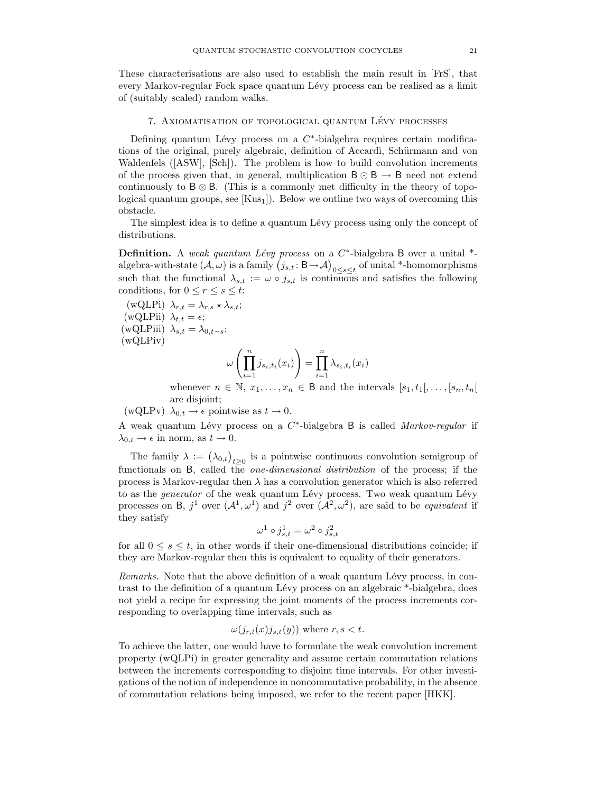These characterisations are also used to establish the main result in [FrS], that every Markov-regular Fock space quantum L´evy process can be realised as a limit of (suitably scaled) random walks.

# 7. AXIOMATISATION OF TOPOLOGICAL QUANTUM LÉVY PROCESSES

Defining quantum Lévy process on a  $C^*$ -bialgebra requires certain modifications of the original, purely algebraic, definition of Accardi, Schürmann and von Waldenfels ([ASW], [Sch]). The problem is how to build convolution increments of the process given that, in general, multiplication  $B \odot B \rightarrow B$  need not extend continuously to  $B \otimes B$ . (This is a commonly met difficulty in the theory of topological quantum groups, see  $[Kus_1]$ ). Below we outline two ways of overcoming this obstacle.

The simplest idea is to define a quantum Lévy process using only the concept of distributions.

**Definition.** A weak quantum Lévy process on a  $C^*$ -bialgebra B over a unital  $*$ algebra-with-state  $(A, \omega)$  is a family  $(j_{s,t} : B \to A)_{0 \le s \le t}$  of unital \*-homomorphisms such that the functional  $\lambda_{s,t} := \omega \circ j_{s,t}$  is continuous and satisfies the following conditions, for  $0 \leq r \leq s \leq t$ :

 $(wQLPi)$   $\lambda_{r,t} = \lambda_{r,s} \star \lambda_{s,t};$ (wQLPii)  $\lambda_{t,t} = \epsilon$ ; (wQLPiii)  $\lambda_{s,t} = \lambda_{0,t-s};$ (wQLPiv)

$$
\omega\left(\prod_{i=1}^n j_{s_i,t_i}(x_i)\right) = \prod_{i=1}^n \lambda_{s_i,t_i}(x_i)
$$

whenever  $n \in \mathbb{N}, x_1, \ldots, x_n \in \mathsf{B}$  and the intervals  $[s_1, t_1], \ldots, [s_n, t_n]$ are disjoint;

(wQLPv)  $\lambda_{0,t} \to \epsilon$  pointwise as  $t \to 0$ .

A weak quantum Lévy process on a  $C^*$ -bialgebra B is called *Markov-regular* if  $\lambda_{0,t} \rightarrow \epsilon$  in norm, as  $t \rightarrow 0$ .

The family  $\lambda := (\lambda_{0,t})_{t \geq 0}$  is a pointwise continuous convolution semigroup of functionals on B, called the *one-dimensional distribution* of the process; if the process is Markov-regular then  $\lambda$  has a convolution generator which is also referred to as the *generator* of the weak quantum Lévy process. Two weak quantum Lévy processes on B,  $j^1$  over  $(\mathcal{A}^1, \omega^1)$  and  $j^2$  over  $(\mathcal{A}^2, \omega^2)$ , are said to be *equivalent* if they satisfy

$$
\omega^1 \circ j_{s,t}^1 = \omega^2 \circ j_{s,t}^2
$$

for all  $0 \leq s \leq t$ , in other words if their one-dimensional distributions coincide; if they are Markov-regular then this is equivalent to equality of their generators.

Remarks. Note that the above definition of a weak quantum Lévy process, in contrast to the definition of a quantum Lévy process on an algebraic \*-bialgebra, does not yield a recipe for expressing the joint moments of the process increments corresponding to overlapping time intervals, such as

$$
\omega(j_{r,t}(x)j_{s,t}(y))
$$
 where  $r, s < t$ .

To achieve the latter, one would have to formulate the weak convolution increment property (wQLPi) in greater generality and assume certain commutation relations between the increments corresponding to disjoint time intervals. For other investigations of the notion of independence in noncommutative probability, in the absence of commutation relations being imposed, we refer to the recent paper [HKK].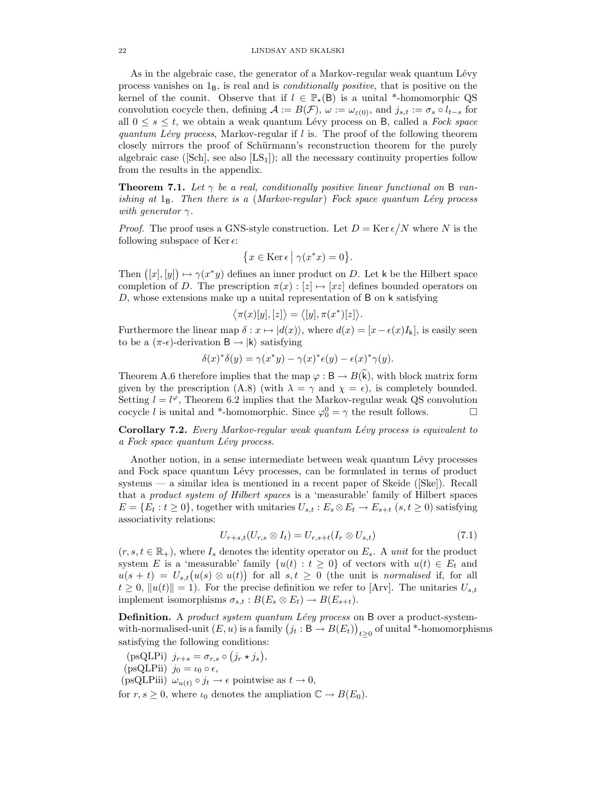As in the algebraic case, the generator of a Markov-regular weak quantum Lévy process vanishes on  $1_B$ , is real and is *conditionally positive*, that is positive on the kernel of the counit. Observe that if  $l \in \mathbb{P}_*(B)$  is a unital \*-homomorphic QS convolution cocycle then, defining  $\mathcal{A} := B(\mathcal{F}), \ \omega := \omega_{\varepsilon(0)},$  and  $j_{s,t} := \sigma_s \circ l_{t-s}$  for all  $0 \leq s \leq t$ , we obtain a weak quantum Lévy process on B, called a Fock space quantum Lévy process, Markov-regular if l is. The proof of the following theorem closely mirrors the proof of Schürmann's reconstruction theorem for the purely algebraic case ([Sch], see also  $[LS<sub>1</sub>]$ ); all the necessary continuity properties follow from the results in the appendix.

**Theorem 7.1.** Let  $\gamma$  be a real, conditionally positive linear functional on B vanishing at  $1_B$ . Then there is a (Markov-regular) Fock space quantum Lévy process with generator  $\gamma$ .

*Proof.* The proof uses a GNS-style construction. Let  $D = \text{Ker } \epsilon/N$  where N is the following subspace of Ker  $\epsilon$ :

$$
\big\{x\in {\rm Ker}\,\epsilon\,\big|\,\,\gamma(x^*x)=0\big\}.
$$

Then  $([x],[y]) \mapsto \gamma(x^*y)$  defines an inner product on D. Let k be the Hilbert space completion of D. The prescription  $\pi(x): [z] \mapsto [xz]$  defines bounded operators on D, whose extensions make up a unital representation of B on k satisfying

$$
\langle \pi(x)[y], [z] \rangle = \langle [y], \pi(x^*)[z] \rangle.
$$

Furthermore the linear map  $\delta : x \mapsto |d(x)\rangle$ , where  $d(x) = [x - \epsilon(x)I_k]$ , is easily seen to be a  $(\pi-\epsilon)$ -derivation  $B \to |k\rangle$  satisfying

$$
\delta(x)^{*}\delta(y) = \gamma(x^{*}y) - \gamma(x)^{*}\epsilon(y) - \epsilon(x)^{*}\gamma(y).
$$

Theorem A.6 therefore implies that the map  $\varphi : \mathsf{B} \to B(\widehat{k})$ , with block matrix form given by the prescription (A.8) (with  $\lambda = \gamma$  and  $\chi = \epsilon$ ), is completely bounded. Setting  $l = l^{\varphi}$ , Theorem 6.2 implies that the Markov-regular weak QS convolution cocycle *l* is unital and \*-homomorphic. Since  $\varphi_0^0 = \gamma$  the result follows.

Corollary 7.2. Every Markov-regular weak quantum Lévy process is equivalent to a Fock space quantum  $Lévy$  process.

Another notion, in a sense intermediate between weak quantum Lévy processes and Fock space quantum Lévy processes, can be formulated in terms of product systems — a similar idea is mentioned in a recent paper of Skeide ([Ske]). Recall that a product system of Hilbert spaces is a 'measurable' family of Hilbert spaces  $E = \{E_t : t \geq 0\}$ , together with unitaries  $U_{s,t} : E_s \otimes E_t \to E_{s+t}$   $(s, t \geq 0)$  satisfying associativity relations:

$$
U_{r+s,t}(U_{r,s}\otimes I_t)=U_{r,s+t}(I_r\otimes U_{s,t})
$$
\n(7.1)

 $(r, s, t \in \mathbb{R}_+)$ , where  $I_s$  denotes the identity operator on  $E_s$ . A unit for the product system E is a 'measurable' family  $\{u(t): t \geq 0\}$  of vectors with  $u(t) \in E_t$  and  $u(s + t) = U_{s,t}(u(s) \otimes u(t))$  for all  $s, t \geq 0$  (the unit is normalised if, for all  $t \geq 0$ ,  $||u(t)|| = 1$ ). For the precise definition we refer to [Arv]. The unitaries  $U_{s,t}$ implement isomorphisms  $\sigma_{s,t} : B(E_s \otimes E_t) \to B(E_{s+t}).$ 

**Definition.** A product system quantum Lévy process on B over a product-systemwith-normalised-unit  $(E, u)$  is a family  $(j_t : B \to B(E_t))_{t \geq 0}$  of unital \*-homomorphisms satisfying the following conditions:

- $(\text{psQLPi})$   $j_{r+s} = \sigma_{r,s} \circ (j_r \star j_s),$
- $(psQLPii)$   $j_0 = \iota_0 \circ \epsilon$ ,
- (psQLPiii)  $\omega_{u(t)} \circ j_t \to \epsilon$  pointwise as  $t \to 0$ ,
- for  $r, s \geq 0$ , where  $\iota_0$  denotes the ampliation  $\mathbb{C} \to B(E_0)$ .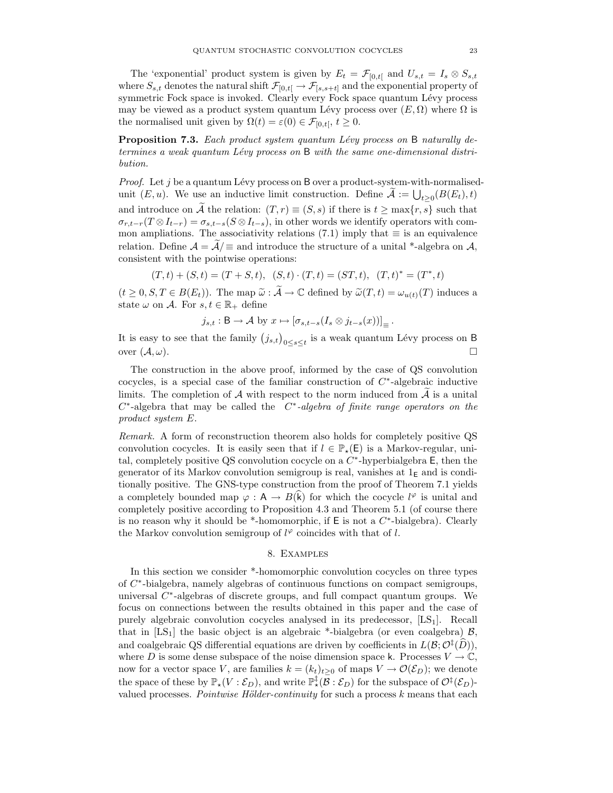The 'exponential' product system is given by  $E_t = \mathcal{F}_{[0,t]}$  and  $U_{s,t} = I_s \otimes S_{s,t}$ where  $S_{s,t}$  denotes the natural shift  $\mathcal{F}_{[0,t]} \to \mathcal{F}_{[s,s+t]}$  and the exponential property of symmetric Fock space is invoked. Clearly every Fock space quantum Lévy process may be viewed as a product system quantum Lévy process over  $(E, \Omega)$  where  $\Omega$  is the normalised unit given by  $\Omega(t) = \varepsilon(0) \in \mathcal{F}_{[0,t[}, t \ge 0.$ 

**Proposition 7.3.** Each product system quantum Lévy process on B naturally determines a weak quantum Lévy process on  $\bf{B}$  with the same one-dimensional distribution.

*Proof.* Let j be a quantum Lévy process on B over a product-system-with-normalisedunit  $(E, u)$ . We use an inductive limit construction. Define  $\widetilde{A} := \bigcup_{t \geq 0} (B(E_t), t)$ and introduce on  $\widetilde{A}$  the relation:  $(T, r) \equiv (S, s)$  if there is  $t \ge \max\{r, s\}$  such that  $\sigma_{r,t-r}(T \otimes I_{t-r}) = \sigma_{s,t-s}(S \otimes I_{t-s}),$  in other words we identify operators with common ampliations. The associativity relations (7.1) imply that  $\equiv$  is an equivalence relation. Define  $\mathcal{A} = \mathcal{A}/\equiv$  and introduce the structure of a unital \*-algebra on  $\mathcal{A}$ , consistent with the pointwise operations:

$$
(T,t) + (S,t) = (T + S,t), (S,t) \cdot (T,t) = (ST,t), (T,t)^* = (T^*,t)
$$

 $(t \geq 0, S, T \in B(E_t))$ . The map  $\tilde{\omega}: \tilde{\mathcal{A}} \to \mathbb{C}$  defined by  $\tilde{\omega}(T, t) = \omega_{u(t)}(T)$  induces a state  $\omega$  on A. For  $s, t \in \mathbb{R}_+$  define

$$
j_{s,t}: \mathsf{B} \to \mathcal{A} \text{ by } x \mapsto [\sigma_{s,t-s}(I_s \otimes j_{t-s}(x))]_{\equiv}.
$$

It is easy to see that the family  $(j_{s,t})_{0 \leq s \leq t}$  is a weak quantum Lévy process on B over  $(A, \omega)$ .

The construction in the above proof, informed by the case of QS convolution cocycles, is a special case of the familiar construction of  $C^*$ -algebraic inductive limits. The completion of A with respect to the norm induced from  $A$  is a unital  $C^*$ -algebra that may be called the  $C^*$ -algebra of finite range operators on the product system E.

Remark. A form of reconstruction theorem also holds for completely positive QS convolution cocycles. It is easily seen that if  $l \in \mathbb{P}_{\star}(\mathsf{E})$  is a Markov-regular, unital, completely positive QS convolution cocycle on a  $C^*$ -hyperbialgebra  $E$ , then the generator of its Markov convolution semigroup is real, vanishes at  $1<sub>E</sub>$  and is conditionally positive. The GNS-type construction from the proof of Theorem 7.1 yields a completely bounded map  $\varphi : A \to B(\hat{k})$  for which the cocycle  $l^{\varphi}$  is unital and completely positive according to Proposition 4.3 and Theorem 5.1 (of course there is no reason why it should be \*-homomorphic, if  $E$  is not a  $C^*$ -bialgebra). Clearly the Markov convolution semigroup of  $l^{\varphi}$  coincides with that of l.

## 8. Examples

In this section we consider \*-homomorphic convolution cocycles on three types of C ∗ -bialgebra, namely algebras of continuous functions on compact semigroups, universal  $C^*$ -algebras of discrete groups, and full compact quantum groups. We focus on connections between the results obtained in this paper and the case of purely algebraic convolution cocycles analysed in its predecessor, [LS1]. Recall that in  $[LS_1]$  the basic object is an algebraic \*-bialgebra (or even coalgebra)  $\mathcal{B}$ , and coalgebraic QS differential equations are driven by coefficients in  $L(\mathcal{B}; \mathcal{O}^{\ddagger}(\widehat{D}))$ , where D is some dense subspace of the noise dimension space k. Processes  $V \to \mathbb{C}$ , now for a vector space V, are families  $k = (k_t)_{t>0}$  of maps  $V \to \mathcal{O}(\mathcal{E}_D)$ ; we denote the space of these by  $\mathbb{P}_*(V:\mathcal{E}_D)$ , and write  $\mathbb{P}_*^{\ddagger}(\mathcal{B}:\mathcal{E}_D)$  for the subspace of  $\mathcal{O}^{\ddagger}(\mathcal{E}_D)$ valued processes. Pointwise Hölder-continuity for such a process  $k$  means that each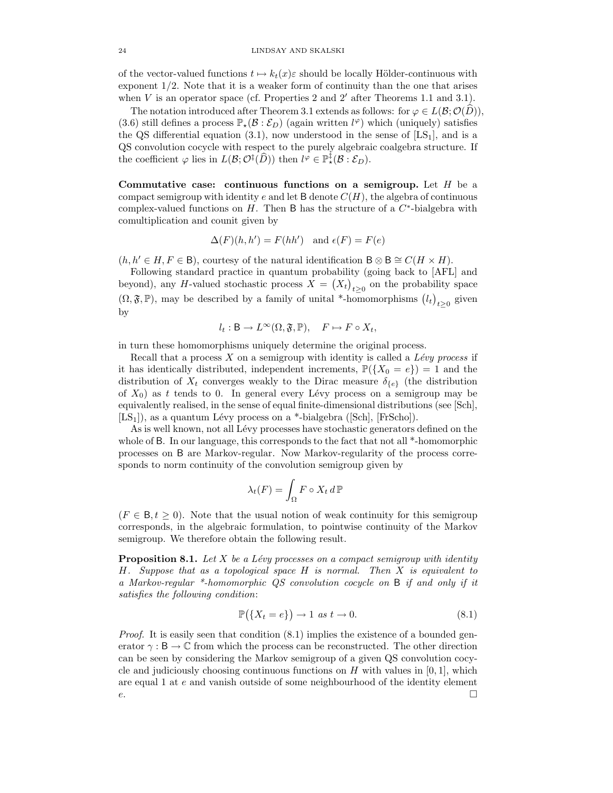of the vector-valued functions  $t \mapsto k_t(x)\varepsilon$  should be locally Hölder-continuous with exponent  $1/2$ . Note that it is a weaker form of continuity than the one that arises when  $V$  is an operator space (cf. Properties 2 and  $2'$  after Theorems 1.1 and 3.1).

The notation introduced after Theorem 3.1 extends as follows: for  $\varphi \in L(\mathcal{B}; \mathcal{O}(D)),$ (3.6) still defines a process  $\mathbb{P}_*(\mathcal{B}:\mathcal{E}_D)$  (again written  $l^{\varphi}$ ) which (uniquely) satisfies the QS differential equation  $(3.1)$ , now understood in the sense of  $[LS_1]$ , and is a QS convolution cocycle with respect to the purely algebraic coalgebra structure. If the coefficient  $\varphi$  lies in  $L(\mathcal{B}; \mathcal{O}^{\ddagger}(\widehat{D}))$  then  $l^{\varphi} \in \mathbb{P}_{\star}^{\ddagger}(\mathcal{B}:\mathcal{E}_D)$ .

Commutative case: continuous functions on a semigroup. Let  $H$  be a compact semigroup with identity e and let  $B$  denote  $C(H)$ , the algebra of continuous complex-valued functions on  $H$ . Then B has the structure of a  $C^*$ -bialgebra with comultiplication and counit given by

$$
\Delta(F)(h, h') = F(hh') \text{ and } \epsilon(F) = F(e)
$$

 $(h, h' \in H, F \in \mathbb{B})$ , courtesy of the natural identification  $\mathsf{B} \otimes \mathsf{B} \cong C(H \times H)$ .

Following standard practice in quantum probability (going back to [AFL] and beyond), any H-valued stochastic process  $\overline{X} = (X_t)_{t \geq 0}$  on the probability space  $(\Omega, \mathfrak{F}, \mathbb{P})$ , may be described by a family of unital \*-homomorphisms  $(l_t)_{t\geq 0}$  given by

$$
l_t: \mathsf{B} \to L^\infty(\Omega, \mathfrak{F}, \mathbb{P}), \quad F \mapsto F \circ X_t,
$$

in turn these homomorphisms uniquely determine the original process.

Recall that a process  $X$  on a semigroup with identity is called a *Lévy process* if it has identically distributed, independent increments,  $\mathbb{P}(\{X_0 = e\}) = 1$  and the distribution of  $X_t$  converges weakly to the Dirac measure  $\delta_{\{e\}}$  (the distribution of  $X_0$ ) as t tends to 0. In general every Lévy process on a semigroup may be equivalently realised, in the sense of equal finite-dimensional distributions (see [Sch],  $[LS<sub>1</sub>],$  as a quantum Lévy process on a \*-bialgebra ([Sch], [FrScho]).

As is well known, not all Lévy processes have stochastic generators defined on the whole of B. In our language, this corresponds to the fact that not all \*-homomorphic processes on B are Markov-regular. Now Markov-regularity of the process corresponds to norm continuity of the convolution semigroup given by

$$
\lambda_t(F) = \int_{\Omega} F \circ X_t d\mathbb{P}
$$

 $(F \in \mathsf{B}, t \geq 0)$ . Note that the usual notion of weak continuity for this semigroup corresponds, in the algebraic formulation, to pointwise continuity of the Markov semigroup. We therefore obtain the following result.

**Proposition 8.1.** Let X be a Lévy processes on a compact semigroup with identity  $H.$  Suppose that as a topological space  $H$  is normal. Then  $X$  is equivalent to a Markov-regular \*-homomorphic QS convolution cocycle on B if and only if it satisfies the following condition:

$$
\mathbb{P}(\lbrace X_t = e \rbrace) \to 1 \text{ as } t \to 0. \tag{8.1}
$$

*Proof.* It is easily seen that condition  $(8.1)$  implies the existence of a bounded generator  $\gamma : \mathsf{B} \to \mathbb{C}$  from which the process can be reconstructed. The other direction can be seen by considering the Markov semigroup of a given QS convolution cocycle and judiciously choosing continuous functions on  $H$  with values in [0, 1], which are equal  $1$  at  $e$  and vanish outside of some neighbourhood of the identity element  $e.$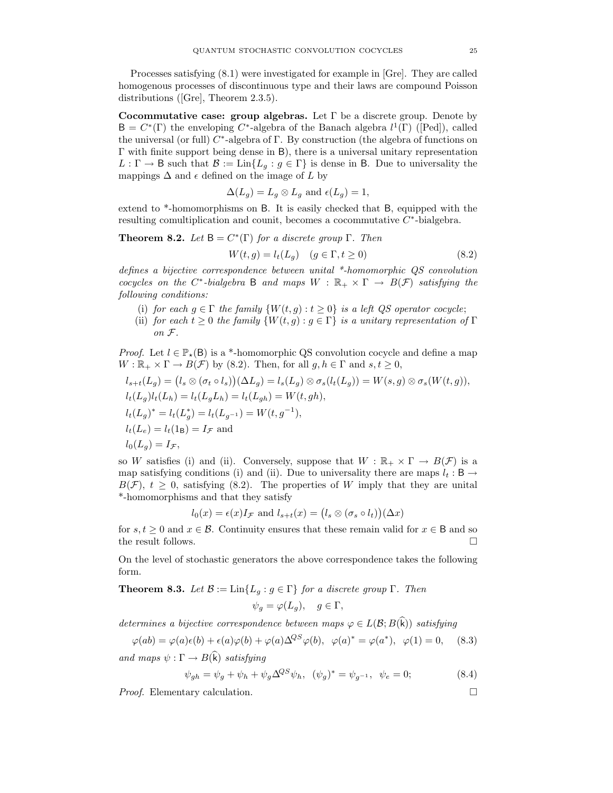Processes satisfying (8.1) were investigated for example in [Gre]. They are called homogenous processes of discontinuous type and their laws are compound Poisson distributions ([Gre], Theorem 2.3.5).

Cocommutative case: group algebras. Let  $\Gamma$  be a discrete group. Denote by  $B = C^*(\Gamma)$  the enveloping C<sup>\*</sup>-algebra of the Banach algebra  $l^1(\Gamma)$  ([Ped]), called the universal (or full)  $C^*$ -algebra of  $\Gamma$ . By construction (the algebra of functions on Γ with finite support being dense in B), there is a universal unitary representation  $L : \Gamma \to \mathsf{B}$  such that  $\mathcal{B} := \text{Lin}\{L_g : g \in \Gamma\}$  is dense in **B**. Due to universality the mappings  $\Delta$  and  $\epsilon$  defined on the image of L by

$$
\Delta(L_g) = L_g \otimes L_g \text{ and } \epsilon(L_g) = 1,
$$

extend to \*-homomorphisms on B. It is easily checked that B, equipped with the resulting comultiplication and counit, becomes a cocommutative  $C^*$ -bialgebra.

**Theorem 8.2.** Let  $B = C^*(\Gamma)$  for a discrete group  $\Gamma$ . Then

$$
W(t,g) = l_t(L_g) \quad (g \in \Gamma, t \ge 0)
$$
\n
$$
(8.2)
$$

defines a bijective correspondence between unital \*-homomorphic QS convolution cocycles on the C<sup>\*</sup>-bialgebra B and maps  $W : \mathbb{R}_+ \times \Gamma \to B(\mathcal{F})$  satisfying the following conditions:

- (i) for each  $g \in \Gamma$  the family  $\{W(t, g) : t \geq 0\}$  is a left QS operator cocycle;
- (ii) for each  $t \geq 0$  the family  $\{W(t, g) : g \in \Gamma\}$  is a unitary representation of  $\Gamma$ on F.

*Proof.* Let  $l \in \mathbb{P}_{*}(\mathsf{B})$  is a \*-homomorphic QS convolution cocycle and define a map  $W: \mathbb{R}_+ \times \Gamma \to B(\mathcal{F})$  by (8.2). Then, for all  $g, h \in \Gamma$  and  $s, t \geq 0$ ,

$$
l_{s+t}(L_g) = (l_s \otimes (\sigma_t \circ l_s))(\Delta L_g) = l_s(L_g) \otimes \sigma_s(l_t(L_g)) = W(s,g) \otimes \sigma_s(W(t,g)),
$$
  
\n
$$
l_t(L_g)l_t(L_h) = l_t(L_gL_h) = l_t(L_{gh}) = W(t,gh),
$$
  
\n
$$
l_t(L_g)^* = l_t(L_g^*) = l_t(L_{g^{-1}}) = W(t,g^{-1}),
$$
  
\n
$$
l_t(L_e) = l_t(1_B) = I_{\mathcal{F}}
$$
 and  
\n
$$
l_0(L_g) = I_{\mathcal{F}},
$$

so W satisfies (i) and (ii). Conversely, suppose that  $W : \mathbb{R}_+ \times \Gamma \to B(\mathcal{F})$  is a map satisfying conditions (i) and (ii). Due to universality there are maps  $l_t : \mathsf{B} \to$  $B(\mathcal{F})$ ,  $t \geq 0$ , satisfying (8.2). The properties of W imply that they are unital \*-homomorphisms and that they satisfy

$$
l_0(x) = \epsilon(x)I_{\mathcal{F}}
$$
 and  $l_{s+t}(x) = (l_s \otimes (\sigma_s \circ l_t))(\Delta x)$ 

for  $s, t \geq 0$  and  $x \in \mathcal{B}$ . Continuity ensures that these remain valid for  $x \in \mathsf{B}$  and so the result follows.  $\Box$ 

On the level of stochastic generators the above correspondence takes the following form.

**Theorem 8.3.** Let  $\mathcal{B} := \text{Lin}\{L_q : g \in \Gamma\}$  for a discrete group  $\Gamma$ . Then

$$
\psi_g = \varphi(L_g), \quad g \in \Gamma,
$$

determines a bijective correspondence between maps  $\varphi \in L(\mathcal{B};B(\widehat{k}))$  satisfying

$$
\varphi(ab) = \varphi(a)\epsilon(b) + \epsilon(a)\varphi(b) + \varphi(a)\Delta^{QS}\varphi(b), \quad \varphi(a)^* = \varphi(a^*), \quad \varphi(1) = 0, \quad (8.3)
$$

and maps  $\psi : \Gamma \to B(\widehat{k})$  satisfying

$$
\psi_{gh} = \psi_g + \psi_h + \psi_g \Delta^{QS} \psi_h, \ \ (\psi_g)^* = \psi_{g^{-1}}, \ \ \psi_e = 0; \tag{8.4}
$$

Proof. Elementary calculation.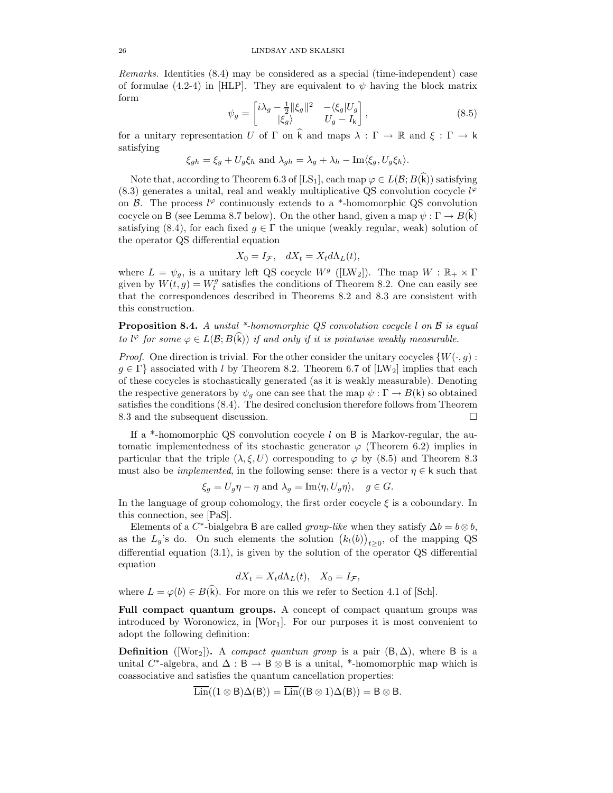Remarks. Identities (8.4) may be considered as a special (time-independent) case of formulae (4.2-4) in HLP. They are equivalent to  $\psi$  having the block matrix form

$$
\psi_g = \begin{bmatrix} i\lambda_g - \frac{1}{2} ||\xi_g||^2 & -\langle \xi_g | U_g \\ |\xi_g \rangle & U_g - I_k \end{bmatrix},
$$
\n(8.5)

for a unitary representation U of  $\Gamma$  on  $\widehat{k}$  and maps  $\lambda : \Gamma \to \mathbb{R}$  and  $\xi : \Gamma \to \mathsf{k}$ satisfying

$$
\xi_{gh} = \xi_g + U_g \xi_h
$$
 and  $\lambda_{gh} = \lambda_g + \lambda_h - \text{Im}\langle \xi_g, U_g \xi_h \rangle$ .

Note that, according to Theorem 6.3 of [LS<sub>1</sub>], each map  $\varphi \in L(\mathcal{B}; B(\hat{k}))$  satisfying (8.3) generates a unital, real and weakly multiplicative QS convolution cocycle  $l^{\varphi}$ on  $\beta$ . The process  $l^{\varphi}$  continuously extends to a \*-homomorphic QS convolution cocycle on B (see Lemma 8.7 below). On the other hand, given a map  $\psi : \Gamma \to B(k)$ satisfying (8.4), for each fixed  $q \in \Gamma$  the unique (weakly regular, weak) solution of the operator QS differential equation

$$
X_0 = I_{\mathcal{F}}, \quad dX_t = X_t d\Lambda_L(t),
$$

where  $L = \psi_g$ , is a unitary left QS cocycle  $W^g$  ([LW<sub>2</sub>]). The map  $W : \mathbb{R}_+ \times \Gamma$ given by  $W(t, g) = W_t^g$  satisfies the conditions of Theorem 8.2. One can easily see that the correspondences described in Theorems 8.2 and 8.3 are consistent with this construction.

**Proposition 8.4.** A unital \*-homomorphic QS convolution cocycle l on  $\mathcal{B}$  is equal to  $l^{\varphi}$  for some  $\varphi \in L(\mathcal{B};B(\widehat{\mathsf{k}}))$  if and only if it is pointwise weakly measurable.

*Proof.* One direction is trivial. For the other consider the unitary cocycles  $\{W(\cdot, g):$  $g \in \Gamma$  associated with l by Theorem 8.2. Theorem 6.7 of [LW<sub>2</sub>] implies that each of these cocycles is stochastically generated (as it is weakly measurable). Denoting the respective generators by  $\psi_q$  one can see that the map  $\psi : \Gamma \to B(k)$  so obtained satisfies the conditions (8.4). The desired conclusion therefore follows from Theorem 8.3 and the subsequent discussion.

If a  $*$ -homomorphic QS convolution cocycle l on B is Markov-regular, the automatic implementedness of its stochastic generator  $\varphi$  (Theorem 6.2) implies in particular that the triple  $(\lambda, \xi, U)$  corresponding to  $\varphi$  by (8.5) and Theorem 8.3 must also be *implemented*, in the following sense: there is a vector  $\eta \in k$  such that

$$
\xi_g = U_g \eta - \eta
$$
 and  $\lambda_g = \text{Im}\langle \eta, U_g \eta \rangle$ ,  $g \in G$ .

In the language of group cohomology, the first order cocycle  $\xi$  is a coboundary. In this connection, see [PaS].

Elements of a C<sup>\*</sup>-bialgebra B are called *group-like* when they satisfy  $\Delta b = b \otimes b$ , as the  $L_g$ 's do. On such elements the solution  $(k_t(b))_{t\geq 0}$ , of the mapping QS differential equation (3.1), is given by the solution of the operator QS differential equation

$$
dX_t = X_t d\Lambda_L(t), \quad X_0 = I_{\mathcal{F}},
$$

where  $L = \varphi(b) \in B(\widehat{k})$ . For more on this we refer to Section 4.1 of [Sch].

Full compact quantum groups. A concept of compact quantum groups was introduced by Woronowicz, in [Wor1]. For our purposes it is most convenient to adopt the following definition:

**Definition** ([Wor<sub>2</sub>]). A compact quantum group is a pair  $(B, \Delta)$ , where B is a unital C<sup>\*</sup>-algebra, and  $\Delta : \mathsf{B} \to \mathsf{B} \otimes \mathsf{B}$  is a unital, <sup>\*</sup>-homomorphic map which is coassociative and satisfies the quantum cancellation properties:

$$
\overline{\mathrm{Lin}}((1 \otimes B)\Delta(B)) = \overline{\mathrm{Lin}}((B \otimes 1)\Delta(B)) = B \otimes B.
$$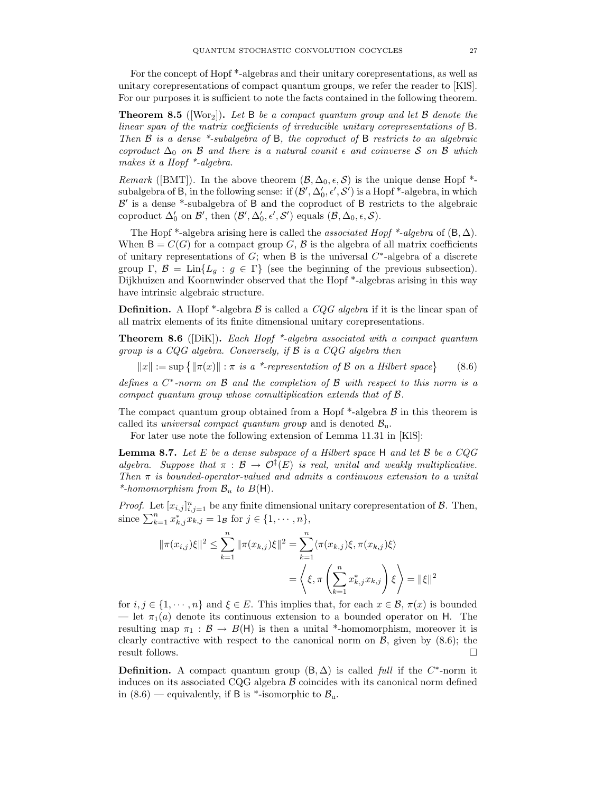For the concept of Hopf \*-algebras and their unitary corepresentations, as well as unitary corepresentations of compact quantum groups, we refer the reader to [KlS]. For our purposes it is sufficient to note the facts contained in the following theorem.

**Theorem 8.5** ([Wor<sub>2</sub>]). Let B be a compact quantum group and let B denote the linear span of the matrix coefficients of irreducible unitary corepresentations of B. Then  $\beta$  is a dense \*-subalgebra of  $\beta$ , the coproduct of  $\beta$  restricts to an algebraic coproduct  $\Delta_0$  on B and there is a natural counit  $\epsilon$  and coinverse S on B which makes it a Hopf \*-algebra.

*Remark* ([BMT]). In the above theorem  $(\mathcal{B}, \Delta_0, \epsilon, \mathcal{S})$  is the unique dense Hopf  $*$ subalgebra of B, in the following sense: if  $(\mathcal{B}', \Delta'_0, \epsilon', \mathcal{S}')$  is a Hopf \*-algebra, in which B' is a dense \*-subalgebra of B and the coproduct of B restricts to the algebraic coproduct  $\Delta'_0$  on  $\mathcal{B}'$ , then  $(\mathcal{B}', \Delta'_0, \epsilon', \mathcal{S}')$  equals  $(\mathcal{B}, \Delta_0, \epsilon, \mathcal{S})$ .

The Hopf \*-algebra arising here is called the *associated Hopf* \*-algebra of  $(B, \Delta)$ . When  $B = C(G)$  for a compact group G, B is the algebra of all matrix coefficients of unitary representations of  $G$ ; when  $B$  is the universal  $C^*$ -algebra of a discrete group  $\Gamma$ ,  $\mathcal{B} = \text{Lin}\{L_q : g \in \Gamma\}$  (see the beginning of the previous subsection). Dijkhuizen and Koornwinder observed that the Hopf \*-algebras arising in this way have intrinsic algebraic structure.

**Definition.** A Hopf \*-algebra  $\beta$  is called a CQG algebra if it is the linear span of all matrix elements of its finite dimensional unitary corepresentations.

**Theorem 8.6** ([DiK]). Each Hopf \*-algebra associated with a compact quantum group is a  $CQG$  algebra. Conversely, if  $\mathcal B$  is a  $CQG$  algebra then

 $||x|| := \sup \{ ||\pi(x)|| : \pi \text{ is a *-representation of } \mathcal{B} \text{ on a Hilbert space} \}$ (8.6)

defines a  $C^*$ -norm on  $\mathcal B$  and the completion of  $\mathcal B$  with respect to this norm is a compact quantum group whose comultiplication extends that of B.

The compact quantum group obtained from a Hopf  $*$ -algebra  $\beta$  in this theorem is called its universal compact quantum group and is denoted  $\mathcal{B}_u$ .

For later use note the following extension of Lemma 11.31 in [KlS]:

**Lemma 8.7.** Let E be a dense subspace of a Hilbert space  $H$  and let  $B$  be a CQG algebra. Suppose that  $\pi : \mathcal{B} \to \mathcal{O}^{\ddagger}(E)$  is real, unital and weakly multiplicative. Then  $\pi$  is bounded-operator-valued and admits a continuous extension to a unital \*-homomorphism from  $\mathcal{B}_u$  to  $B(H)$ .

*Proof.* Let  $[x_{i,j}]_{i,j=1}^n$  be any finite dimensional unitary corepresentation of  $\mathcal{B}$ . Then, since  $\sum_{k=1}^{n} x_{k,j}^{*} x_{k,j} = 1_{\mathcal{B}}$  for  $j \in \{1, \cdots, n\},$ 

$$
\|\pi(x_{i,j})\xi\|^2 \le \sum_{k=1}^n \|\pi(x_{k,j})\xi\|^2 = \sum_{k=1}^n \langle \pi(x_{k,j})\xi, \pi(x_{k,j})\xi \rangle
$$
  
=  $\left\langle \xi, \pi \left( \sum_{k=1}^n x_{k,j}^* x_{k,j} \right) \xi \right\rangle = \|\xi\|^2$ 

for  $i, j \in \{1, \dots, n\}$  and  $\xi \in E$ . This implies that, for each  $x \in \mathcal{B}$ ,  $\pi(x)$  is bounded — let  $\pi_1(a)$  denote its continuous extension to a bounded operator on H. The resulting map  $\pi_1 : \mathcal{B} \to B(H)$  is then a unital \*-homomorphism, moreover it is clearly contractive with respect to the canonical norm on  $\mathcal{B}$ , given by (8.6); the result follows.

**Definition.** A compact quantum group  $(B, \Delta)$  is called *full* if the C<sup>\*</sup>-norm it induces on its associated CQG algebra  $\beta$  coincides with its canonical norm defined in  $(8.6)$  — equivalently, if B is \*-isomorphic to  $\mathcal{B}_u$ .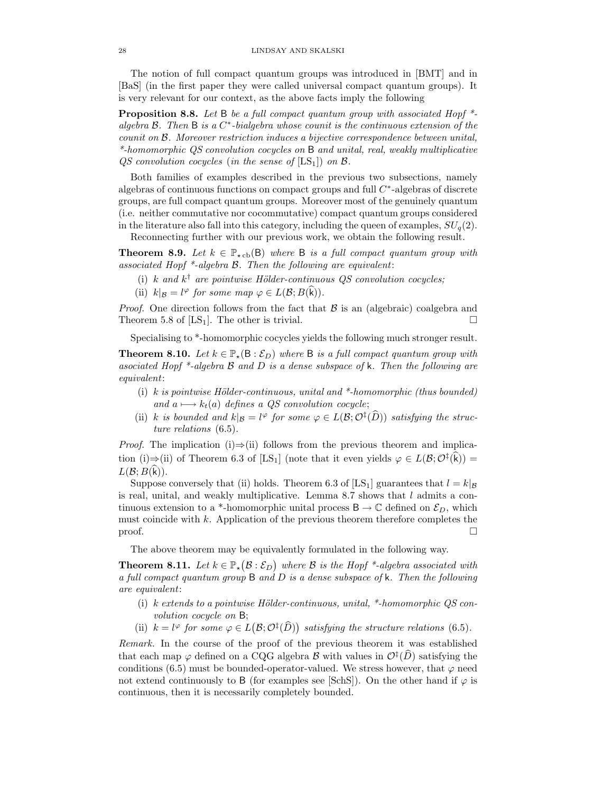The notion of full compact quantum groups was introduced in [BMT] and in [BaS] (in the first paper they were called universal compact quantum groups). It is very relevant for our context, as the above facts imply the following

**Proposition 8.8.** Let B be a full compact quantum group with associated Hopf  $*$ algebra  $\mathcal{B}$ . Then  $\mathsf{B}$  is a  $C^*$ -bialgebra whose counit is the continuous extension of the counit on B. Moreover restriction induces a bijective correspondence between unital, \*-homomorphic QS convolution cocycles on B and unital, real, weakly multiplicative QS convolution cocycles (in the sense of  $[LS_1]$ ) on  $\mathcal{B}$ .

Both families of examples described in the previous two subsections, namely algebras of continuous functions on compact groups and full  $C^*$ -algebras of discrete groups, are full compact quantum groups. Moreover most of the genuinely quantum (i.e. neither commutative nor cocommutative) compact quantum groups considered in the literature also fall into this category, including the queen of examples,  $SU_q(2)$ .

Reconnecting further with our previous work, we obtain the following result.

**Theorem 8.9.** Let  $k \in \mathbb{P}_{\star cb}(B)$  where B is a full compact quantum group with associated Hopf  $*$ -algebra  $\beta$ . Then the following are equivalent:

- (i) k and  $k^{\dagger}$  are pointwise Hölder-continuous QS convolution cocycles;
- (ii)  $k|B = l^{\varphi}$  for some map  $\varphi \in L(\mathcal{B}; B(\widehat{k})).$

*Proof.* One direction follows from the fact that  $\beta$  is an (algebraic) coalgebra and Theorem 5.8 of [LS<sub>1</sub>]. The other is trivial.  $\square$ 

Specialising to \*-homomorphic cocycles yields the following much stronger result.

**Theorem 8.10.** Let  $k \in \mathbb{P}_*(\mathsf{B} : \mathcal{E}_D)$  where  $\mathsf{B}$  is a full compact quantum group with asociated Hopf  $*$ -algebra  $\mathcal B$  and  $D$  is a dense subspace of k. Then the following are equivalent:

- (i) k is pointwise Hölder-continuous, unital and \*-homomorphic (thus bounded) and  $a \mapsto k_t(a)$  defines a QS convolution cocycle;
- (ii) k is bounded and  $k|B = l^{\varphi}$  for some  $\varphi \in L(\mathcal{B}; \mathcal{O}^{\ddagger}(\tilde{D}))$  satisfying the structure relations (6.5).

*Proof.* The implication (i)⇒(ii) follows from the previous theorem and implication (i) $\Rightarrow$ (ii) of Theorem 6.3 of [LS<sub>1</sub>] (note that it even yields  $\varphi \in L(\mathcal{B}; \mathcal{O}^{\ddagger}(\widehat{k})) =$  $L(\mathcal{B}; B(\widehat{k})).$ 

Suppose conversely that (ii) holds. Theorem 6.3 of [LS<sub>1</sub>] guarantees that  $l = k|B|$ is real, unital, and weakly multiplicative. Lemma 8.7 shows that  $l$  admits a continuous extension to a \*-homomorphic unital process  $B \to \mathbb{C}$  defined on  $\mathcal{E}_D$ , which must coincide with  $k$ . Application of the previous theorem therefore completes the  $\Box$ 

The above theorem may be equivalently formulated in the following way.

**Theorem 8.11.** Let  $k \in \mathbb{P}_*(\mathcal{B} : \mathcal{E}_D)$  where  $\mathcal{B}$  is the Hopf \*-algebra associated with a full compact quantum group  $\mathsf B$  and  $D$  is a dense subspace of k. Then the following are equivalent:

- (i) k extends to a pointwise Hölder-continuous, unital, \*-homomorphic  $QS$  convolution cocycle on B;
- (ii)  $k = l^{\varphi}$  for some  $\varphi \in L(\mathcal{B}; \mathcal{O}^{\ddagger}(\widehat{D}))$  satisfying the structure relations (6.5).

Remark. In the course of the proof of the previous theorem it was established that each map  $\varphi$  defined on a CQG algebra  $\mathcal{B}$  with values in  $\mathcal{O}^{\ddagger}(D)$  satisfying the conditions (6.5) must be bounded-operator-valued. We stress however, that  $\varphi$  need not extend continuously to B (for examples see [SchS]). On the other hand if  $\varphi$  is continuous, then it is necessarily completely bounded.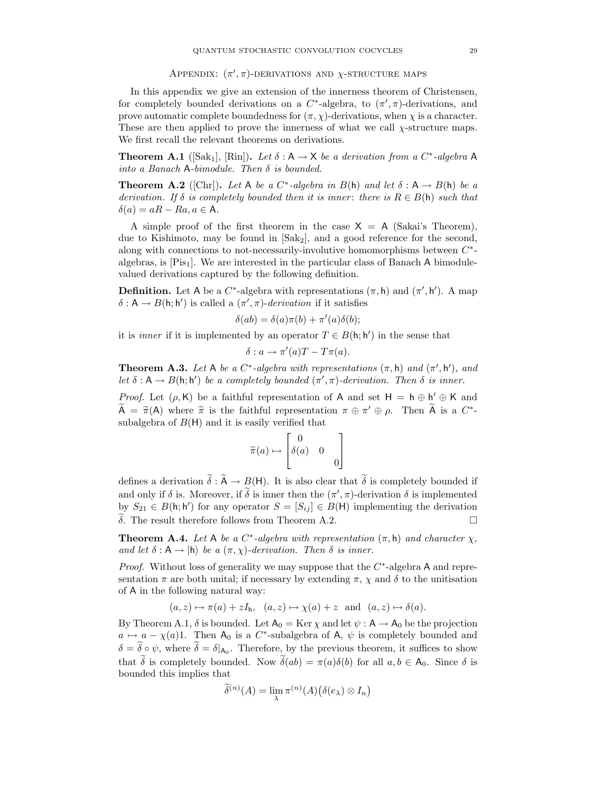APPENDIX:  $(\pi', \pi)$ -DERIVATIONS AND  $\chi$ -STRUCTURE MAPS

In this appendix we give an extension of the innerness theorem of Christensen, for completely bounded derivations on a  $C^*$ -algebra, to  $(\pi', \pi)$ -derivations, and prove automatic complete boundedness for  $(\pi, \chi)$ -derivations, when  $\chi$  is a character. These are then applied to prove the innerness of what we call  $\chi$ -structure maps. We first recall the relevant theorems on derivations.

**Theorem A.1** ([Sak<sub>1</sub>], [Rin]). Let  $\delta : A \rightarrow X$  be a derivation from a  $C^*$ -algebra A into a Banach A-bimodule. Then  $\delta$  is bounded.

**Theorem A.2** ([Chr]). Let A be a  $C^*$ -algebra in  $B(\mathsf{h})$  and let  $\delta : \mathsf{A} \to B(\mathsf{h})$  be a derivation. If  $\delta$  is completely bounded then it is inner: there is  $R \in B(h)$  such that  $\delta(a) = aR - Ra, a \in A.$ 

A simple proof of the first theorem in the case  $X = A$  (Sakai's Theorem), due to Kishimoto, may be found in  $[Sak_2]$ , and a good reference for the second, along with connections to not-necessarily-involutive homomorphisms between  $C^*$ algebras, is  $[Dis<sub>1</sub>]$ . We are interested in the particular class of Banach A bimodulevalued derivations captured by the following definition.

**Definition.** Let A be a  $C^*$ -algebra with representations  $(\pi, h)$  and  $(\pi', h')$ . A map  $\delta: A \to B(h; h')$  is called a  $(\pi', \pi)$ -derivation if it satisfies

$$
\delta(ab) = \delta(a)\pi(b) + \pi'(a)\delta(b);
$$

it is *inner* if it is implemented by an operator  $T \in B(h; h')$  in the sense that

$$
\delta: a \to \pi'(a)T - T\pi(a).
$$

**Theorem A.3.** Let A be a  $C^*$ -algebra with representations  $(\pi, h)$  and  $(\pi', h')$ , and let  $\delta: A \to B(h; h')$  be a completely bounded  $(\pi', \pi)$ -derivation. Then  $\delta$  is inner.

*Proof.* Let  $(\rho, K)$  be a faithful representation of A and set  $H = h \oplus h' \oplus K$  and  $\widetilde{A} = \widetilde{\pi}(A)$  where  $\widetilde{\pi}$  is the faithful representation  $\pi \oplus \pi' \oplus \rho$ . Then  $\widetilde{A}$  is a  $C^*$ subalgebra of  $B(H)$  and it is easily verified that

$$
\widetilde{\pi}(a) \mapsto \begin{bmatrix} 0 \\ \delta(a) & 0 \\ 0 & 0 \end{bmatrix}
$$

defines a derivation  $\tilde{\delta}: \tilde{A} \to B(H)$ . It is also clear that  $\tilde{\delta}$  is completely bounded if and only if  $\delta$  is. Moreover, if  $\delta$  is inner then the  $(\pi', \pi)$ -derivation  $\delta$  is implemented by  $S_{21} \in B(\mathsf{h}; \mathsf{h}')$  for any operator  $S = [S_{ij}] \in B(\mathsf{H})$  implementing the derivation δ. The result therefore follows from Theorem A.2.  $\Box$ 

**Theorem A.4.** Let A be a  $C^*$ -algebra with representation  $(\pi, h)$  and character  $\chi$ , and let  $\delta : A \rightarrow |h\rangle$  be a  $(\pi, \chi)$ -derivation. Then  $\delta$  is inner.

*Proof.* Without loss of generality we may suppose that the  $C^*$ -algebra A and representation  $\pi$  are both unital; if necessary by extending  $\pi$ ,  $\chi$  and  $\delta$  to the unitisation of A in the following natural way:

$$
(a, z) \mapsto \pi(a) + zI_h, \quad (a, z) \mapsto \chi(a) + z \text{ and } (a, z) \mapsto \delta(a).
$$

By Theorem A.1,  $\delta$  is bounded. Let  $A_0 = \text{Ker }\chi$  and let  $\psi : A \to A_0$  be the projection  $a \mapsto a - \chi(a)$ 1. Then  $A_0$  is a C<sup>\*</sup>-subalgebra of A,  $\psi$  is completely bounded and  $\delta = \delta \circ \psi$ , where  $\delta = \delta |_{A_0}$ . Therefore, by the previous theorem, it suffices to show that  $\tilde{\delta}$  is completely bounded. Now  $\tilde{\delta}(ab) = \pi(a)\delta(b)$  for all  $a, b \in A_0$ . Since  $\delta$  is bounded this implies that

$$
\widetilde{\delta}^{(n)}(A) = \lim_{\lambda} \pi^{(n)}(A) (\delta(e_{\lambda}) \otimes I_n)
$$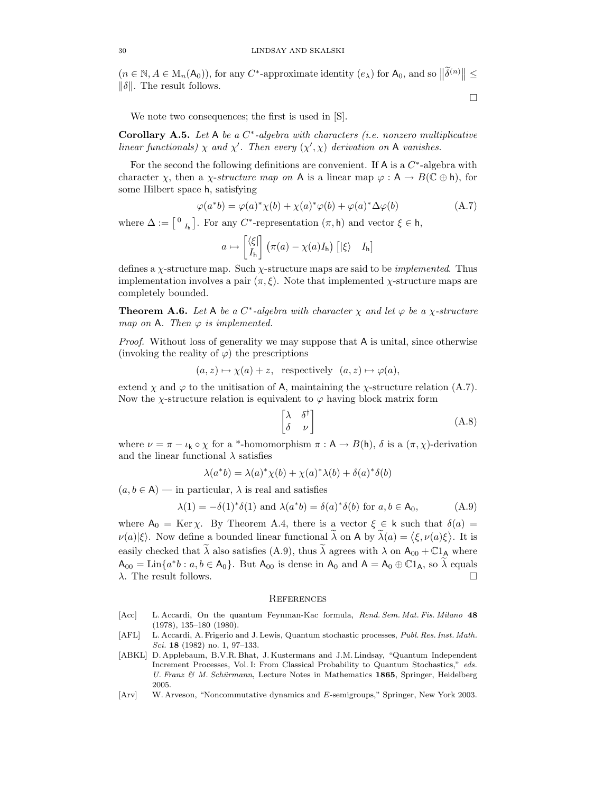$(n \in \mathbb{N}, A \in M_n(A_0)),$  for any C<sup>\*</sup>-approximate identity  $(e_{\lambda})$  for  $A_0$ , and so  $\|\tilde{\delta}^{(n)}\| \le$  $\|\delta\|$ . The result follows.

 $\Box$ 

We note two consequences; the first is used in [S].

Corollary A.5. Let A be a  $C^*$ -algebra with characters (i.e. nonzero multiplicative linear functionals)  $\chi$  and  $\chi'$ . Then every  $(\chi', \chi)$  derivation on A vanishes.

For the second the following definitions are convenient. If A is a  $C^*$ -algebra with character  $\chi$ , then a  $\chi$ -structure map on A is a linear map  $\varphi : A \to B(\mathbb{C} \oplus \mathsf{h})$ , for some Hilbert space h, satisfying

$$
\varphi(a^*b) = \varphi(a)^* \chi(b) + \chi(a)^* \varphi(b) + \varphi(a)^* \Delta \varphi(b)
$$
 (A.7)

where  $\Delta := \begin{bmatrix} 0 & 0 \\ 0 & I_h \end{bmatrix}$ . For any C<sup>\*</sup>-representation  $(\pi, h)$  and vector  $\xi \in h$ ,

$$
a \mapsto \begin{bmatrix} \langle \xi | \\ I_{\mathsf{h}} \end{bmatrix} \left( \pi(a) - \chi(a) I_{\mathsf{h}} \right) \left[ |\xi \rangle \quad I_{\mathsf{h}} \right]
$$

defines a  $\chi$ -structure map. Such  $\chi$ -structure maps are said to be *implemented*. Thus implementation involves a pair  $(\pi, \xi)$ . Note that implemented *χ*-structure maps are completely bounded.

**Theorem A.6.** Let A be a  $C^*$ -algebra with character  $\chi$  and let  $\varphi$  be a  $\chi$ -structure map on A. Then  $\varphi$  is implemented.

Proof. Without loss of generality we may suppose that A is unital, since otherwise (invoking the reality of  $\varphi$ ) the prescriptions

$$
(a, z) \mapsto \chi(a) + z
$$
, respectively  $(a, z) \mapsto \varphi(a)$ ,

extend  $\chi$  and  $\varphi$  to the unitisation of A, maintaining the  $\chi$ -structure relation (A.7). Now the  $\chi$ -structure relation is equivalent to  $\varphi$  having block matrix form

$$
\begin{bmatrix} \lambda & \delta^{\dagger} \\ \delta & \nu \end{bmatrix}
$$
 (A.8)

where  $\nu = \pi - \iota_k \circ \chi$  for a \*-homomorphism  $\pi : A \to B(h)$ ,  $\delta$  is a  $(\pi, \chi)$ -derivation and the linear functional  $\lambda$  satisfies

$$
\lambda(a^*b) = \lambda(a)^* \chi(b) + \chi(a)^* \lambda(b) + \delta(a)^* \delta(b)
$$

 $(a, b \in A)$  — in particular,  $\lambda$  is real and satisfies

$$
\lambda(1) = -\delta(1)^*\delta(1) \text{ and } \lambda(a^*b) = \delta(a)^*\delta(b) \text{ for } a, b \in \mathsf{A}_0,
$$
 (A.9)

where  $A_0 = \text{Ker }\chi$ . By Theorem A.4, there is a vector  $\xi \in \mathsf{k}$  such that  $\delta(a) =$  $\nu(a)|\xi\rangle$ . Now define a bounded linear functional  $\tilde{\lambda}$  on A by  $\tilde{\lambda}(a) = \langle \xi, \nu(a)\xi \rangle$ . It is easily checked that  $\tilde{\lambda}$  also satisfies (A.9), thus  $\tilde{\lambda}$  agrees with  $\lambda$  on  $A_{00} + \mathbb{C}1_A$  where  $A_{00} = \text{Lin}\{a^*b : a, b \in A_0\}$ . But  $A_{00}$  is dense in  $A_0$  and  $A = A_0 \oplus \mathbb{C}1_A$ , so  $\tilde{\lambda}$  equals  $\lambda$ . The result follows.

# **REFERENCES**

- [Acc] L. Accardi, On the quantum Feynman-Kac formula, Rend. Sem. Mat. Fis. Milano 48 (1978), 135–180 (1980).
- [AFL] L. Accardi, A. Frigerio and J. Lewis, Quantum stochastic processes, Publ. Res. Inst. Math. Sci. 18 (1982) no. 1, 97-133.
- [ABKL] D. Applebaum, B.V.R. Bhat, J. Kustermans and J.M. Lindsay, "Quantum Independent Increment Processes, Vol. I: From Classical Probability to Quantum Stochastics," eds. U. Franz & M. Schürmann, Lecture Notes in Mathematics 1865, Springer, Heidelberg 2005.
- [Arv] W. Arveson, "Noncommutative dynamics and E-semigroups," Springer, New York 2003.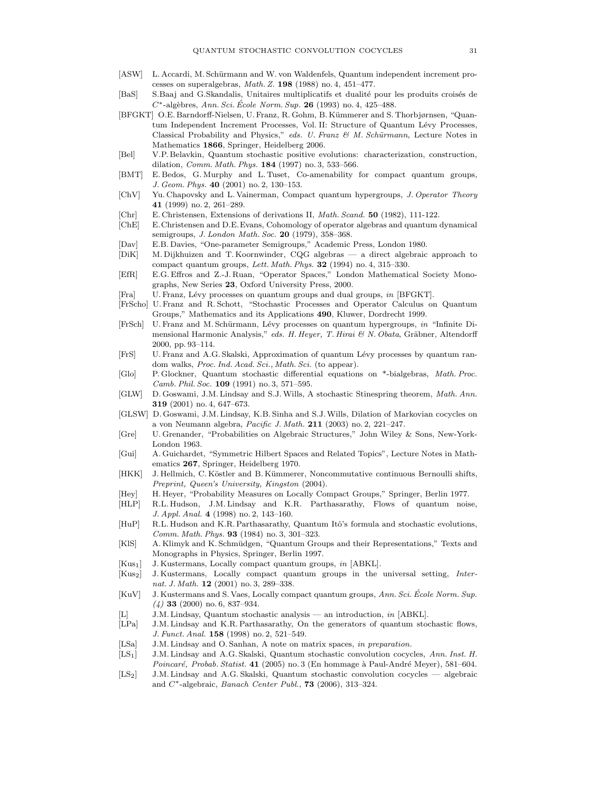- [ASW] L. Accardi, M. Schürmann and W. von Waldenfels, Quantum independent increment processes on superalgebras, Math. Z. 198 (1988) no. 4, 451–477.
- [BaS] S.Baaj and G.Skandalis, Unitaires multiplicatifs et dualité pour les produits croisés de  $C^*$ -algèbres, Ann. Sci. École Norm. Sup. 26 (1993) no. 4, 425–488.
- [BFGKT] O.E. Barndorff-Nielsen, U. Franz, R. Gohm, B. Kümmerer and S. Thorbjørnsen, "Quantum Independent Increment Processes, Vol. II: Structure of Quantum Lévy Processes, Classical Probability and Physics," eds. U. Franz  $\mathcal{C}'$  M. Schürmann, Lecture Notes in Mathematics 1866, Springer, Heidelberg 2006.
- [Bel] V.P. Belavkin, Quantum stochastic positive evolutions: characterization, construction, dilation, Comm. Math. Phys. 184 (1997) no. 3, 533–566.
- [BMT] E. Bedos, G. Murphy and L. Tuset, Co-amenability for compact quantum groups, J. Geom. Phys. 40 (2001) no. 2, 130–153.
- [ChV] Yu. Chapovsky and L. Vainerman, Compact quantum hypergroups, J. Operator Theory 41 (1999) no. 2, 261–289.
- [Chr] E. Christensen, Extensions of derivations II, Math. Scand. 50 (1982), 111-122.
- [ChE] E.Christensen and D.E.Evans, Cohomology of operator algebras and quantum dynamical semigroups, *J. London Math. Soc.* **20** (1979), 358-368.
- [Dav] E.B. Davies, "One-parameter Semigroups," Academic Press, London 1980.
- [DiK] M. Dijkhuizen and T. Koornwinder, CQG algebras a direct algebraic approach to compact quantum groups, Lett. Math. Phys. 32 (1994) no. 4, 315–330.
- [EfR] E.G. Effros and Z.-J. Ruan, "Operator Spaces," London Mathematical Society Monographs, New Series 23, Oxford University Press, 2000.
- [Fra] U. Franz, Lévy processes on quantum groups and dual groups, in [BFGKT].
- [FrScho] U. Franz and R. Schott, "Stochastic Processes and Operator Calculus on Quantum Groups," Mathematics and its Applications 490, Kluwer, Dordrecht 1999.
- [FrSch] U. Franz and M. Schürmann, Lévy processes on quantum hypergroups, in "Infinite Dimensional Harmonic Analysis," eds. H. Heyer, T. Hirai & N. Obata, Gräbner, Altendorff 2000, pp. 93–114.
- [FrS] U. Franz and A.G. Skalski, Approximation of quantum L´evy processes by quantum random walks, Proc. Ind. Acad. Sci., Math. Sci. (to appear).
- [Glo] P. Glockner, Quantum stochastic differential equations on \*-bialgebras, Math. Proc. Camb. Phil. Soc. 109 (1991) no. 3, 571–595.
- [GLW] D. Goswami, J.M. Lindsay and S.J. Wills, A stochastic Stinespring theorem, Math. Ann. 319 (2001) no. 4, 647–673.
- [GLSW] D. Goswami, J.M. Lindsay, K.B. Sinha and S.J.Wills, Dilation of Markovian cocycles on a von Neumann algebra, Pacific J. Math. 211 (2003) no. 2, 221–247.
- [Gre] U. Grenander, "Probabilities on Algebraic Structures," John Wiley & Sons, New-York-London 1963.
- [Gui] A. Guichardet, "Symmetric Hilbert Spaces and Related Topics", Lecture Notes in Mathematics 267, Springer, Heidelberg 1970.
- [HKK] J. Hellmich, C. Köstler and B. Kümmerer, Noncommutative continuous Bernoulli shifts, Preprint, Queen's University, Kingston (2004).
- [Hey] H. Heyer, "Probability Measures on Locally Compact Groups," Springer, Berlin 1977.
- [HLP] R.L. Hudson, J.M. Lindsay and K.R. Parthasarathy, Flows of quantum noise, J. Appl. Anal. 4 (1998) no. 2, 143–160.
- [HuP] R.L. Hudson and K.R. Parthasarathy, Quantum Itô's formula and stochastic evolutions, Comm. Math. Phys. 93 (1984) no. 3, 301–323.
- [KlS] A. Klimyk and K. Schm¨udgen, "Quantum Groups and their Representations," Texts and Monographs in Physics, Springer, Berlin 1997.
- [Kus<sub>1</sub>] J. Kustermans, Locally compact quantum groups, in [ABKL].
- [Kus2] J. Kustermans, Locally compact quantum groups in the universal setting, Internat. J. Math. 12 (2001) no. 3, 289–338.
- [KuV] J. Kustermans and S. Vaes, Locally compact quantum groups, Ann. Sci. École Norm. Sup.  $(4)$  33 (2000) no. 6, 837-934.
- [L] J.M. Lindsay, Quantum stochastic analysis an introduction, in [ABKL].
- [LPa] J.M. Lindsay and K.R. Parthasarathy, On the generators of quantum stochastic flows, J. Funct. Anal. 158 (1998) no. 2, 521–549.
- [LSa] J.M. Lindsay and O. Sanhan, A note on matrix spaces, in preparation.
- [LS1] J.M. Lindsay and A.G. Skalski, Quantum stochastic convolution cocycles, Ann. Inst. H.
- Poincaré, Probab. Statist. 41 (2005) no. 3 (En hommage à Paul-André Meyer), 581–604. [LS2] J.M. Lindsay and A.G. Skalski, Quantum stochastic convolution cocycles — algebraic and C<sup>∗</sup> -algebraic, Banach Center Publ., 73 (2006), 313–324.